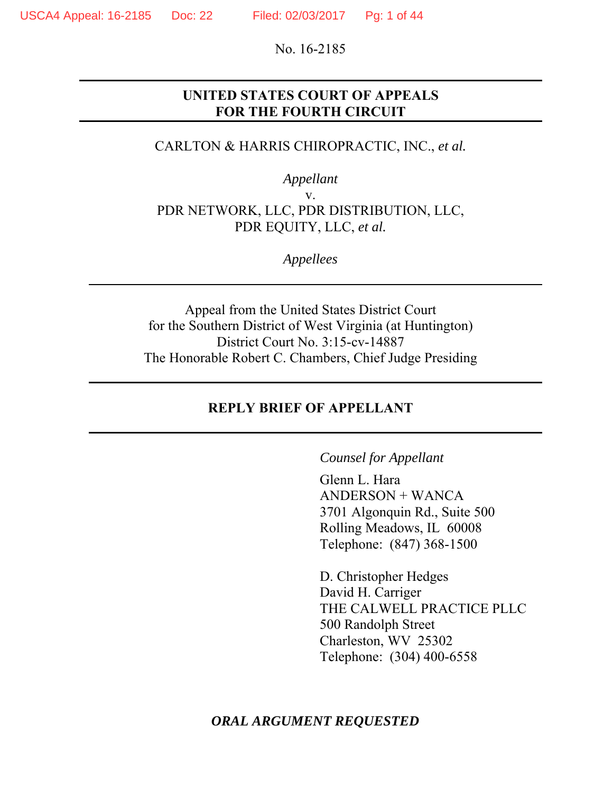No. 16-2185

#### **UNITED STATES COURT OF APPEALS FOR THE FOURTH CIRCUIT**

#### CARLTON & HARRIS CHIROPRACTIC, INC., *et al.*

*Appellant* 

v. PDR NETWORK, LLC, PDR DISTRIBUTION, LLC, PDR EQUITY, LLC, *et al.* 

*Appellees*

Appeal from the United States District Court for the Southern District of West Virginia (at Huntington) District Court No. 3:15-cv-14887 The Honorable Robert C. Chambers, Chief Judge Presiding

#### **REPLY BRIEF OF APPELLANT**

*Counsel for Appellant* 

Glenn L. Hara ANDERSON + WANCA 3701 Algonquin Rd., Suite 500 Rolling Meadows, IL 60008 Telephone: (847) 368-1500

D. Christopher Hedges David H. Carriger THE CALWELL PRACTICE PLLC 500 Randolph Street Charleston, WV 25302 Telephone: (304) 400-6558

*ORAL ARGUMENT REQUESTED*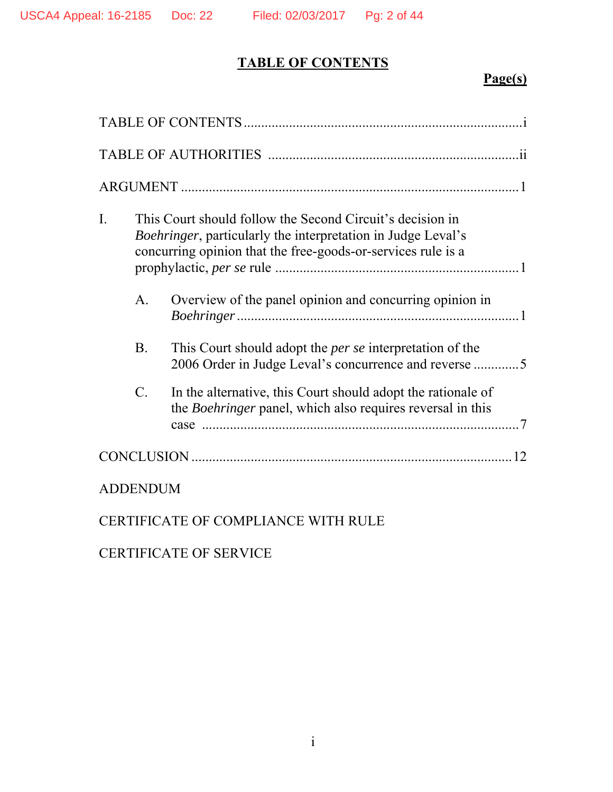# **TABLE OF CONTENTS**

## **Page(s)**

| I. | This Court should follow the Second Circuit's decision in<br>Boehringer, particularly the interpretation in Judge Leval's<br>concurring opinion that the free-goods-or-services rule is a |                                                                                                                            |
|----|-------------------------------------------------------------------------------------------------------------------------------------------------------------------------------------------|----------------------------------------------------------------------------------------------------------------------------|
|    | $\mathsf{A}.$                                                                                                                                                                             | Overview of the panel opinion and concurring opinion in                                                                    |
|    | <b>B.</b>                                                                                                                                                                                 | This Court should adopt the <i>per se</i> interpretation of the<br>2006 Order in Judge Leval's concurrence and reverse 5   |
|    | $\mathcal{C}$ .                                                                                                                                                                           | In the alternative, this Court should adopt the rationale of<br>the Boehringer panel, which also requires reversal in this |
|    |                                                                                                                                                                                           |                                                                                                                            |
|    | <b>ADDENDUM</b>                                                                                                                                                                           |                                                                                                                            |

### CERTIFICATE OF COMPLIANCE WITH RULE

# CERTIFICATE OF SERVICE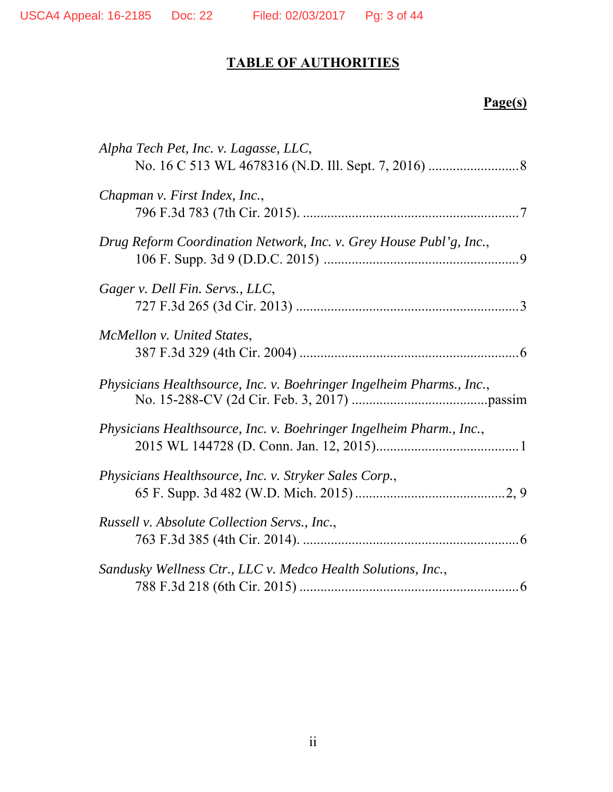# **TABLE OF AUTHORITIES**

### **Page(s)**

| Alpha Tech Pet, Inc. v. Lagasse, LLC,                                |
|----------------------------------------------------------------------|
| Chapman v. First Index, Inc.,                                        |
| Drug Reform Coordination Network, Inc. v. Grey House Publ'g, Inc.,   |
| Gager v. Dell Fin. Servs., LLC,                                      |
| McMellon v. United States,                                           |
| Physicians Healthsource, Inc. v. Boehringer Ingelheim Pharms., Inc., |
| Physicians Healthsource, Inc. v. Boehringer Ingelheim Pharm., Inc.,  |
| Physicians Healthsource, Inc. v. Stryker Sales Corp.,                |
| Russell v. Absolute Collection Servs., Inc.,                         |
| Sandusky Wellness Ctr., LLC v. Medco Health Solutions, Inc.,         |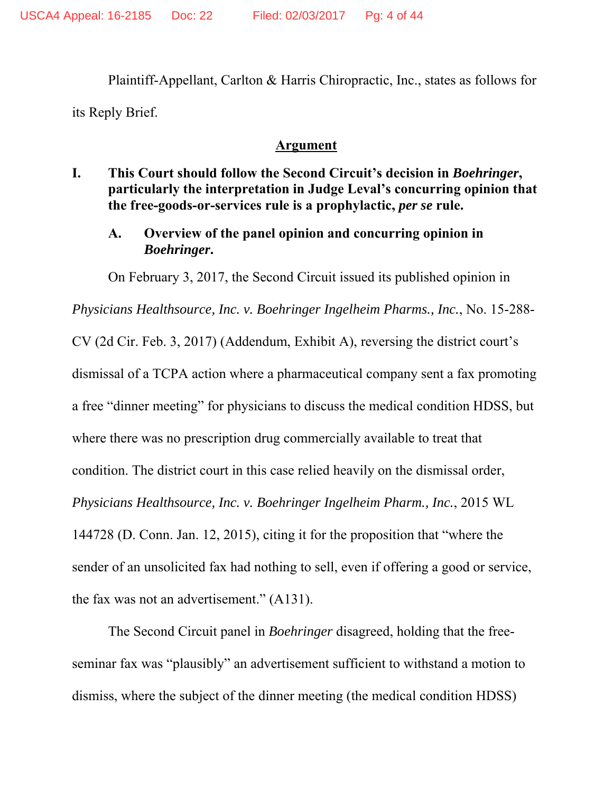Plaintiff-Appellant, Carlton & Harris Chiropractic, Inc., states as follows for its Reply Brief.

#### **Argument**

- **I. This Court should follow the Second Circuit's decision in** *Boehringer***, particularly the interpretation in Judge Leval's concurring opinion that the free-goods-or-services rule is a prophylactic,** *per se* **rule.** 
	- **A. Overview of the panel opinion and concurring opinion in**  *Boehringer***.**

On February 3, 2017, the Second Circuit issued its published opinion in

*Physicians Healthsource, Inc. v. Boehringer Ingelheim Pharms., Inc.*, No. 15-288-

CV (2d Cir. Feb. 3, 2017) (Addendum, Exhibit A), reversing the district court's

dismissal of a TCPA action where a pharmaceutical company sent a fax promoting

a free "dinner meeting" for physicians to discuss the medical condition HDSS, but

where there was no prescription drug commercially available to treat that

condition. The district court in this case relied heavily on the dismissal order,

*Physicians Healthsource, Inc. v. Boehringer Ingelheim Pharm., Inc.*, 2015 WL

144728 (D. Conn. Jan. 12, 2015), citing it for the proposition that "where the sender of an unsolicited fax had nothing to sell, even if offering a good or service, the fax was not an advertisement." (A131).

The Second Circuit panel in *Boehringer* disagreed, holding that the freeseminar fax was "plausibly" an advertisement sufficient to withstand a motion to dismiss, where the subject of the dinner meeting (the medical condition HDSS)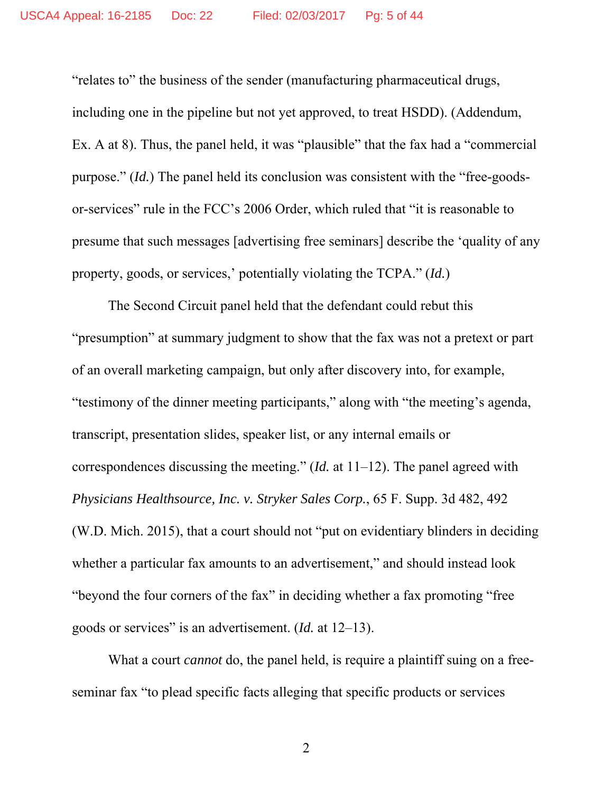"relates to" the business of the sender (manufacturing pharmaceutical drugs, including one in the pipeline but not yet approved, to treat HSDD). (Addendum, Ex. A at 8). Thus, the panel held, it was "plausible" that the fax had a "commercial purpose." (*Id.*) The panel held its conclusion was consistent with the "free-goodsor-services" rule in the FCC's 2006 Order, which ruled that "it is reasonable to presume that such messages [advertising free seminars] describe the 'quality of any property, goods, or services,' potentially violating the TCPA." (*Id.*)

The Second Circuit panel held that the defendant could rebut this "presumption" at summary judgment to show that the fax was not a pretext or part of an overall marketing campaign, but only after discovery into, for example, "testimony of the dinner meeting participants," along with "the meeting's agenda, transcript, presentation slides, speaker list, or any internal emails or correspondences discussing the meeting." (*Id.* at 11–12). The panel agreed with *Physicians Healthsource, Inc. v. Stryker Sales Corp.*, 65 F. Supp. 3d 482, 492 (W.D. Mich. 2015), that a court should not "put on evidentiary blinders in deciding whether a particular fax amounts to an advertisement," and should instead look "beyond the four corners of the fax" in deciding whether a fax promoting "free goods or services" is an advertisement. (*Id.* at 12–13).

What a court *cannot* do, the panel held, is require a plaintiff suing on a freeseminar fax "to plead specific facts alleging that specific products or services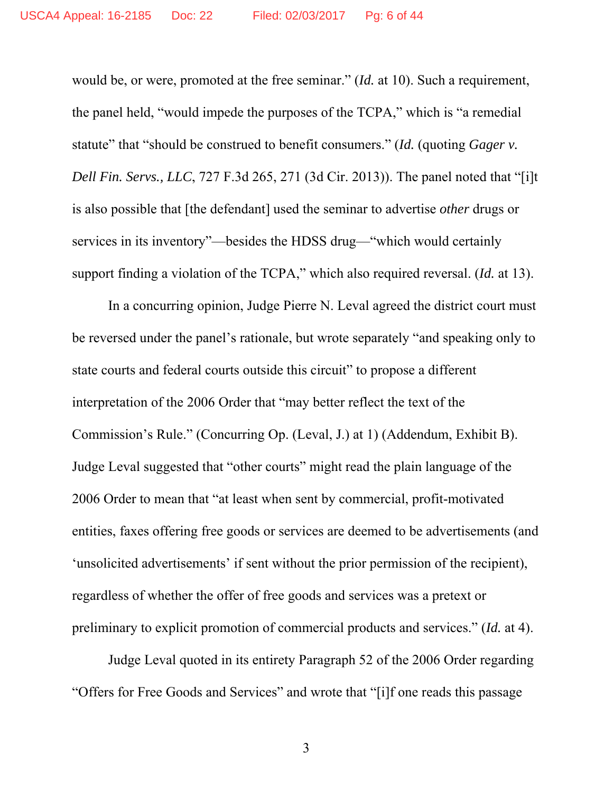would be, or were, promoted at the free seminar." (*Id.* at 10). Such a requirement, the panel held, "would impede the purposes of the TCPA," which is "a remedial statute" that "should be construed to benefit consumers." *(Id. (quoting Gager v.*) *Dell Fin. Servs., LLC*, 727 F.3d 265, 271 (3d Cir. 2013)). The panel noted that "[i]t is also possible that [the defendant] used the seminar to advertise *other* drugs or services in its inventory"—besides the HDSS drug—"which would certainly support finding a violation of the TCPA," which also required reversal. (*Id.* at 13).

In a concurring opinion, Judge Pierre N. Leval agreed the district court must be reversed under the panel's rationale, but wrote separately "and speaking only to state courts and federal courts outside this circuit" to propose a different interpretation of the 2006 Order that "may better reflect the text of the Commission's Rule." (Concurring Op. (Leval, J.) at 1) (Addendum, Exhibit B). Judge Leval suggested that "other courts" might read the plain language of the 2006 Order to mean that "at least when sent by commercial, profit-motivated entities, faxes offering free goods or services are deemed to be advertisements (and 'unsolicited advertisements' if sent without the prior permission of the recipient), regardless of whether the offer of free goods and services was a pretext or preliminary to explicit promotion of commercial products and services." (*Id.* at 4).

Judge Leval quoted in its entirety Paragraph 52 of the 2006 Order regarding "Offers for Free Goods and Services" and wrote that "[i]f one reads this passage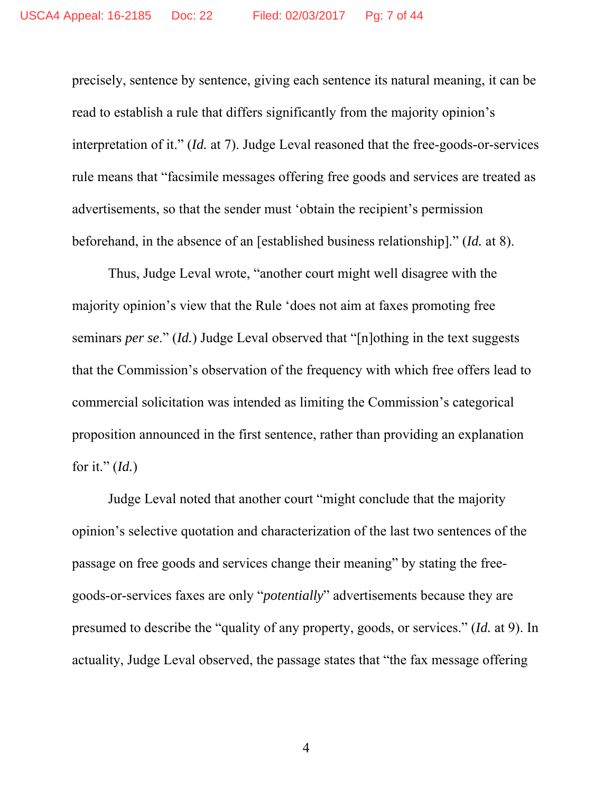precisely, sentence by sentence, giving each sentence its natural meaning, it can be read to establish a rule that differs significantly from the majority opinion's interpretation of it." (*Id.* at 7). Judge Leval reasoned that the free-goods-or-services rule means that "facsimile messages offering free goods and services are treated as advertisements, so that the sender must 'obtain the recipient's permission beforehand, in the absence of an [established business relationship]." (*Id.* at 8).

Thus, Judge Leval wrote, "another court might well disagree with the majority opinion's view that the Rule 'does not aim at faxes promoting free seminars *per se*." (*Id.*) Judge Leval observed that "[n]othing in the text suggests that the Commission's observation of the frequency with which free offers lead to commercial solicitation was intended as limiting the Commission's categorical proposition announced in the first sentence, rather than providing an explanation for it." (*Id.*)

Judge Leval noted that another court "might conclude that the majority opinion's selective quotation and characterization of the last two sentences of the passage on free goods and services change their meaning" by stating the freegoods-or-services faxes are only "*potentially*" advertisements because they are presumed to describe the "quality of any property, goods, or services." (*Id.* at 9). In actuality, Judge Leval observed, the passage states that "the fax message offering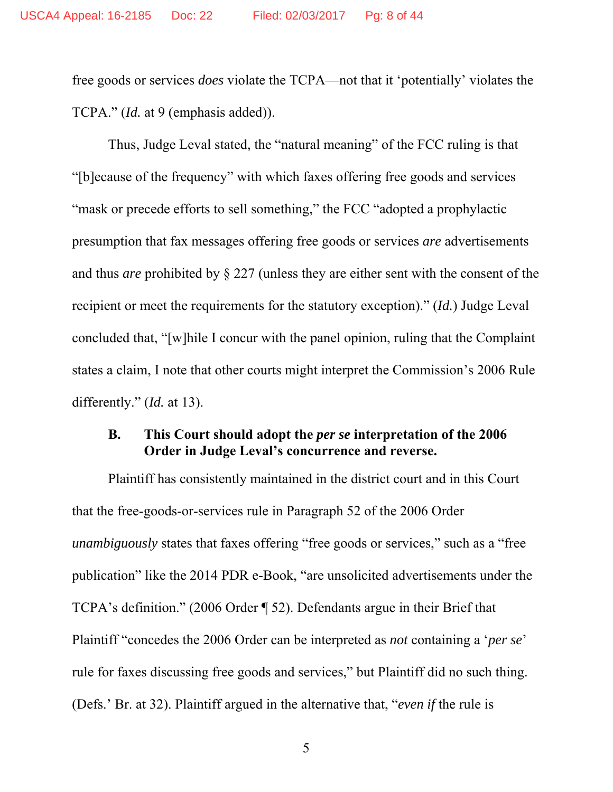free goods or services *does* violate the TCPA—not that it 'potentially' violates the TCPA." *(Id.* at 9 (emphasis added)).

Thus, Judge Leval stated, the "natural meaning" of the FCC ruling is that "[b]ecause of the frequency" with which faxes offering free goods and services "mask or precede efforts to sell something," the FCC "adopted a prophylactic presumption that fax messages offering free goods or services *are* advertisements and thus *are* prohibited by § 227 (unless they are either sent with the consent of the recipient or meet the requirements for the statutory exception)." (*Id.*) Judge Leval concluded that, "[w]hile I concur with the panel opinion, ruling that the Complaint states a claim, I note that other courts might interpret the Commission's 2006 Rule differently." (*Id.* at 13).

#### **B. This Court should adopt the** *per se* **interpretation of the 2006 Order in Judge Leval's concurrence and reverse.**

Plaintiff has consistently maintained in the district court and in this Court that the free-goods-or-services rule in Paragraph 52 of the 2006 Order *unambiguously* states that faxes offering "free goods or services," such as a "free publication" like the 2014 PDR e-Book, "are unsolicited advertisements under the TCPA's definition." (2006 Order ¶ 52). Defendants argue in their Brief that Plaintiff "concedes the 2006 Order can be interpreted as *not* containing a '*per se*' rule for faxes discussing free goods and services," but Plaintiff did no such thing. (Defs.' Br. at 32). Plaintiff argued in the alternative that, "*even if* the rule is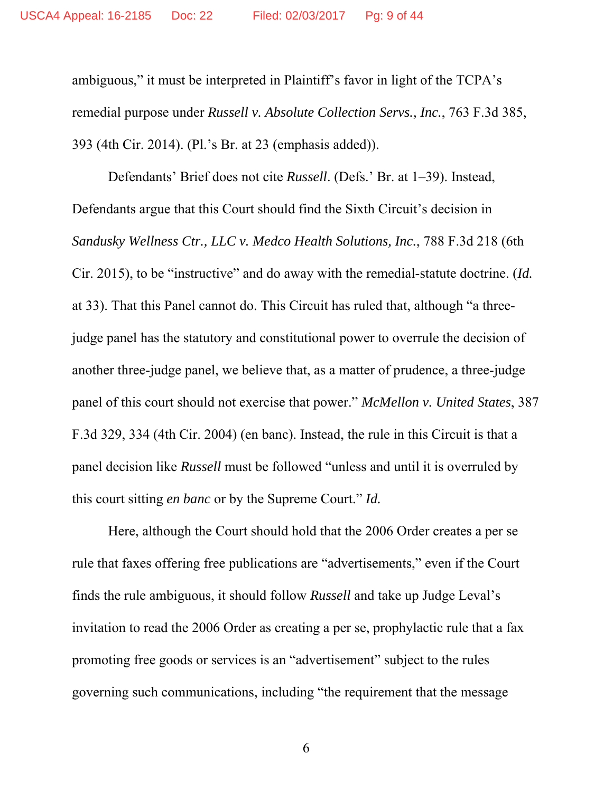ambiguous," it must be interpreted in Plaintiff's favor in light of the TCPA's remedial purpose under *Russell v. Absolute Collection Servs., Inc.*, 763 F.3d 385, 393 (4th Cir. 2014). (Pl.'s Br. at 23 (emphasis added)).

Defendants' Brief does not cite *Russell*. (Defs.' Br. at 1–39). Instead, Defendants argue that this Court should find the Sixth Circuit's decision in *Sandusky Wellness Ctr., LLC v. Medco Health Solutions, Inc.*, 788 F.3d 218 (6th Cir. 2015), to be "instructive" and do away with the remedial-statute doctrine. (*Id.* at 33). That this Panel cannot do. This Circuit has ruled that, although "a threejudge panel has the statutory and constitutional power to overrule the decision of another three-judge panel, we believe that, as a matter of prudence, a three-judge panel of this court should not exercise that power." *McMellon v. United States*, 387 F.3d 329, 334 (4th Cir. 2004) (en banc). Instead, the rule in this Circuit is that a panel decision like *Russell* must be followed "unless and until it is overruled by this court sitting *en banc* or by the Supreme Court." *Id.*

Here, although the Court should hold that the 2006 Order creates a per se rule that faxes offering free publications are "advertisements," even if the Court finds the rule ambiguous, it should follow *Russell* and take up Judge Leval's invitation to read the 2006 Order as creating a per se, prophylactic rule that a fax promoting free goods or services is an "advertisement" subject to the rules governing such communications, including "the requirement that the message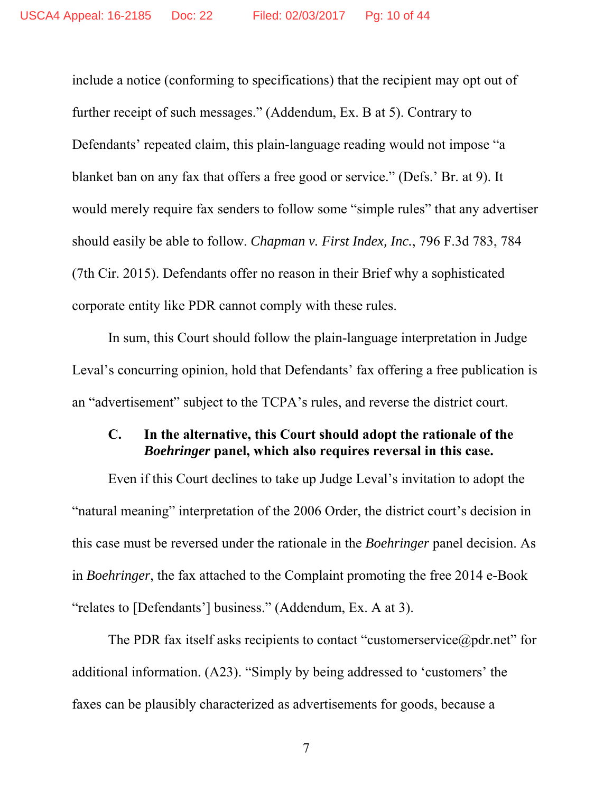include a notice (conforming to specifications) that the recipient may opt out of further receipt of such messages." (Addendum, Ex. B at 5). Contrary to Defendants' repeated claim, this plain-language reading would not impose "a blanket ban on any fax that offers a free good or service." (Defs.' Br. at 9). It would merely require fax senders to follow some "simple rules" that any advertiser should easily be able to follow. *Chapman v. First Index, Inc.*, 796 F.3d 783, 784 (7th Cir. 2015). Defendants offer no reason in their Brief why a sophisticated corporate entity like PDR cannot comply with these rules.

In sum, this Court should follow the plain-language interpretation in Judge Leval's concurring opinion, hold that Defendants' fax offering a free publication is an "advertisement" subject to the TCPA's rules, and reverse the district court.

#### **C. In the alternative, this Court should adopt the rationale of the**  *Boehringer* **panel, which also requires reversal in this case.**

Even if this Court declines to take up Judge Leval's invitation to adopt the "natural meaning" interpretation of the 2006 Order, the district court's decision in this case must be reversed under the rationale in the *Boehringer* panel decision. As in *Boehringer*, the fax attached to the Complaint promoting the free 2014 e-Book "relates to [Defendants'] business." (Addendum, Ex. A at 3).

The PDR fax itself asks recipients to contact "customerservice@pdr.net" for additional information. (A23). "Simply by being addressed to 'customers' the faxes can be plausibly characterized as advertisements for goods, because a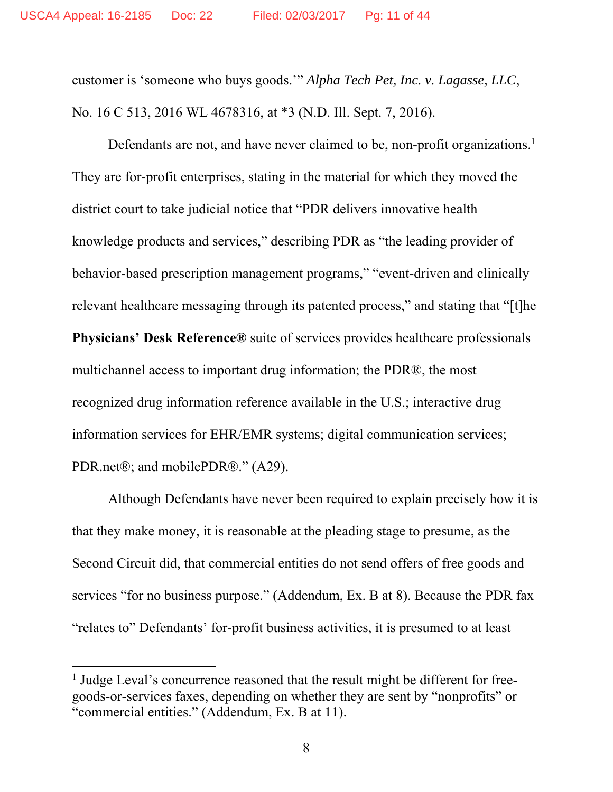customer is 'someone who buys goods.'" *Alpha Tech Pet, Inc. v. Lagasse, LLC*, No. 16 C 513, 2016 WL 4678316, at \*3 (N.D. Ill. Sept. 7, 2016).

Defendants are not, and have never claimed to be, non-profit organizations.<sup>1</sup> They are for-profit enterprises, stating in the material for which they moved the district court to take judicial notice that "PDR delivers innovative health knowledge products and services," describing PDR as "the leading provider of behavior-based prescription management programs," "event-driven and clinically relevant healthcare messaging through its patented process," and stating that "[t]he **Physicians' Desk Reference®** suite of services provides healthcare professionals multichannel access to important drug information; the PDR®, the most recognized drug information reference available in the U.S.; interactive drug information services for EHR/EMR systems; digital communication services; PDR.net®; and mobilePDR®." (A29).

Although Defendants have never been required to explain precisely how it is that they make money, it is reasonable at the pleading stage to presume, as the Second Circuit did, that commercial entities do not send offers of free goods and services "for no business purpose." (Addendum, Ex. B at 8). Because the PDR fax "relates to" Defendants' for-profit business activities, it is presumed to at least

<sup>&</sup>lt;sup>1</sup> Judge Leval's concurrence reasoned that the result might be different for freegoods-or-services faxes, depending on whether they are sent by "nonprofits" or "commercial entities." (Addendum, Ex. B at 11).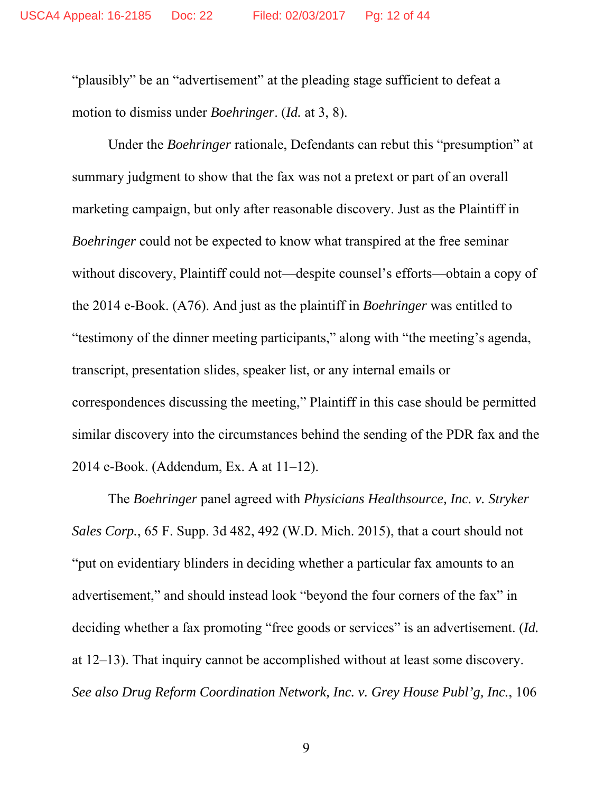"plausibly" be an "advertisement" at the pleading stage sufficient to defeat a motion to dismiss under *Boehringer*. (*Id.* at 3, 8).

Under the *Boehringer* rationale, Defendants can rebut this "presumption" at summary judgment to show that the fax was not a pretext or part of an overall marketing campaign, but only after reasonable discovery. Just as the Plaintiff in *Boehringer* could not be expected to know what transpired at the free seminar without discovery, Plaintiff could not—despite counsel's efforts—obtain a copy of the 2014 e-Book. (A76). And just as the plaintiff in *Boehringer* was entitled to "testimony of the dinner meeting participants," along with "the meeting's agenda, transcript, presentation slides, speaker list, or any internal emails or correspondences discussing the meeting," Plaintiff in this case should be permitted similar discovery into the circumstances behind the sending of the PDR fax and the 2014 e-Book. (Addendum, Ex. A at 11–12).

The *Boehringer* panel agreed with *Physicians Healthsource, Inc. v. Stryker Sales Corp.*, 65 F. Supp. 3d 482, 492 (W.D. Mich. 2015), that a court should not "put on evidentiary blinders in deciding whether a particular fax amounts to an advertisement," and should instead look "beyond the four corners of the fax" in deciding whether a fax promoting "free goods or services" is an advertisement. (*Id.*  at 12–13). That inquiry cannot be accomplished without at least some discovery. *See also Drug Reform Coordination Network, Inc. v. Grey House Publ'g, Inc.*, 106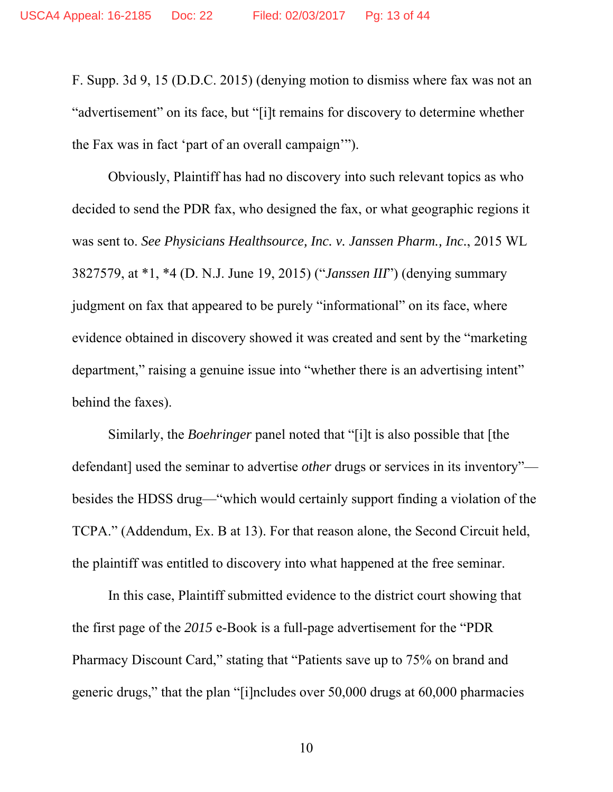F. Supp. 3d 9, 15 (D.D.C. 2015) (denying motion to dismiss where fax was not an "advertisement" on its face, but "[i]t remains for discovery to determine whether the Fax was in fact 'part of an overall campaign'").

Obviously, Plaintiff has had no discovery into such relevant topics as who decided to send the PDR fax, who designed the fax, or what geographic regions it was sent to. *See Physicians Healthsource, Inc. v. Janssen Pharm., Inc.*, 2015 WL 3827579, at \*1, \*4 (D. N.J. June 19, 2015) ("*Janssen III*") (denying summary judgment on fax that appeared to be purely "informational" on its face, where evidence obtained in discovery showed it was created and sent by the "marketing department," raising a genuine issue into "whether there is an advertising intent" behind the faxes).

Similarly, the *Boehringer* panel noted that "[i]t is also possible that [the defendant] used the seminar to advertise *other* drugs or services in its inventory" besides the HDSS drug—"which would certainly support finding a violation of the TCPA." (Addendum, Ex. B at 13). For that reason alone, the Second Circuit held, the plaintiff was entitled to discovery into what happened at the free seminar.

In this case, Plaintiff submitted evidence to the district court showing that the first page of the *2015* e-Book is a full-page advertisement for the "PDR Pharmacy Discount Card," stating that "Patients save up to 75% on brand and generic drugs," that the plan "[i]ncludes over 50,000 drugs at 60,000 pharmacies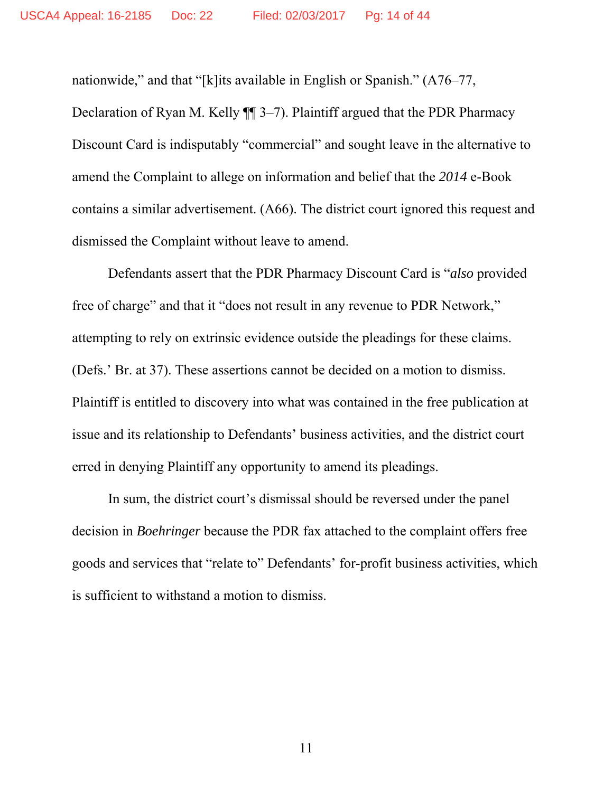nationwide," and that "[k]its available in English or Spanish." (A76–77,

Declaration of Ryan M. Kelly ¶¶ 3–7). Plaintiff argued that the PDR Pharmacy Discount Card is indisputably "commercial" and sought leave in the alternative to amend the Complaint to allege on information and belief that the *2014* e-Book contains a similar advertisement. (A66). The district court ignored this request and dismissed the Complaint without leave to amend.

Defendants assert that the PDR Pharmacy Discount Card is "*also* provided free of charge" and that it "does not result in any revenue to PDR Network," attempting to rely on extrinsic evidence outside the pleadings for these claims. (Defs.' Br. at 37). These assertions cannot be decided on a motion to dismiss. Plaintiff is entitled to discovery into what was contained in the free publication at issue and its relationship to Defendants' business activities, and the district court erred in denying Plaintiff any opportunity to amend its pleadings.

In sum, the district court's dismissal should be reversed under the panel decision in *Boehringer* because the PDR fax attached to the complaint offers free goods and services that "relate to" Defendants' for-profit business activities, which is sufficient to withstand a motion to dismiss.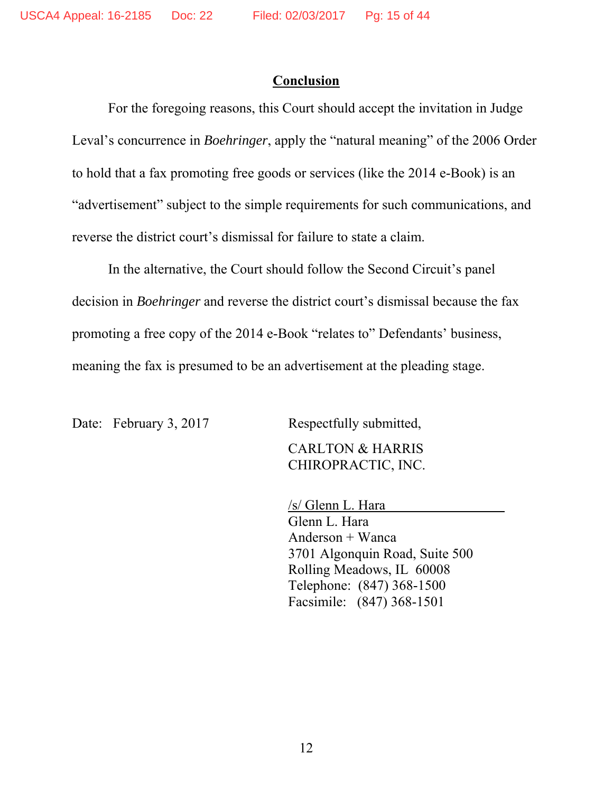#### **Conclusion**

 For the foregoing reasons, this Court should accept the invitation in Judge Leval's concurrence in *Boehringer*, apply the "natural meaning" of the 2006 Order to hold that a fax promoting free goods or services (like the 2014 e-Book) is an "advertisement" subject to the simple requirements for such communications, and reverse the district court's dismissal for failure to state a claim.

In the alternative, the Court should follow the Second Circuit's panel decision in *Boehringer* and reverse the district court's dismissal because the fax promoting a free copy of the 2014 e-Book "relates to" Defendants' business, meaning the fax is presumed to be an advertisement at the pleading stage.

Date: February 3, 2017 Respectfully submitted,

 CARLTON & HARRIS CHIROPRACTIC, INC.

 /s/ Glenn L. Hara Glenn L. Hara Anderson + Wanca 3701 Algonquin Road, Suite 500 Rolling Meadows, IL 60008 Telephone: (847) 368-1500 Facsimile: (847) 368-1501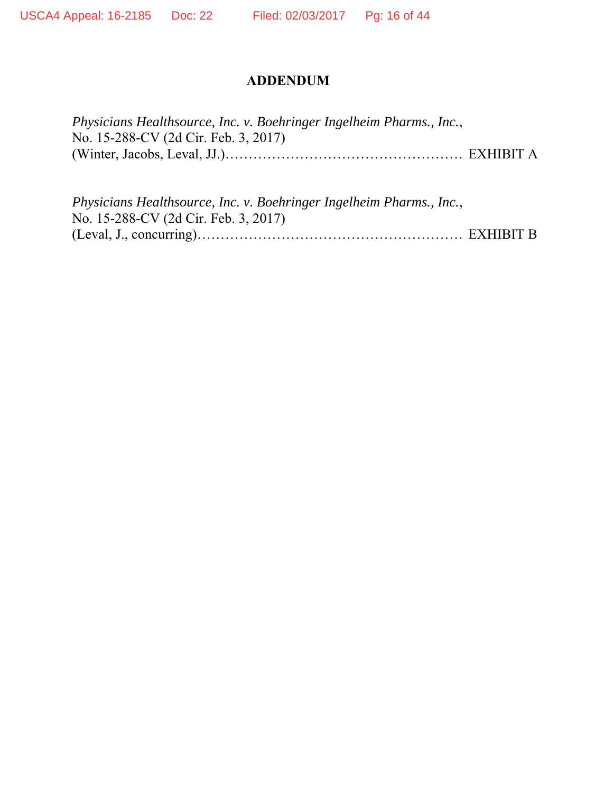#### **ADDENDUM**

| Physicians Healthsource, Inc. v. Boehringer Ingelheim Pharms., Inc., |  |
|----------------------------------------------------------------------|--|
| No. 15-288-CV (2d Cir. Feb. 3, 2017)                                 |  |
|                                                                      |  |

*Physicians Healthsource, Inc. v. Boehringer Ingelheim Pharms., Inc.*, No. 15-288-CV (2d Cir. Feb. 3, 2017) (Leval, J., concurring)………………………………………………… EXHIBIT B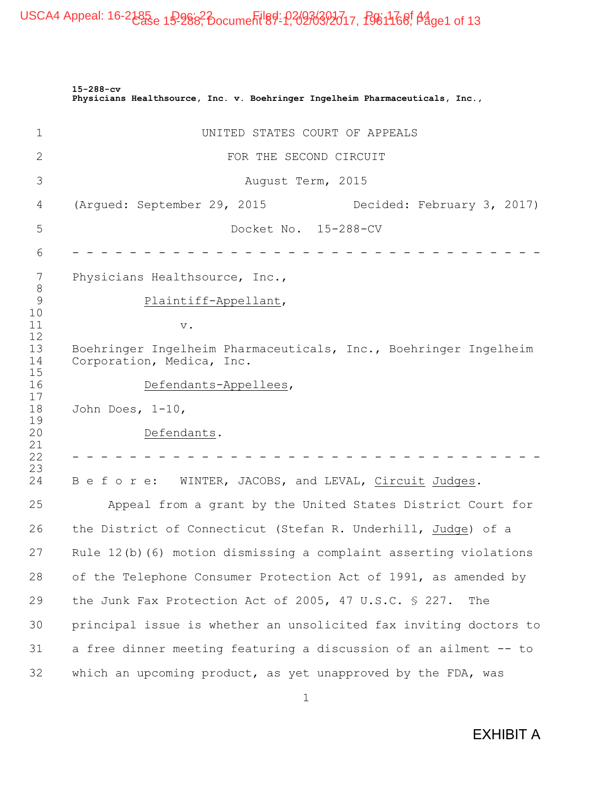|                                                | $15 - 288 - cv$<br>Physicians Healthsource, Inc. v. Boehringer Ingelheim Pharmaceuticals, Inc., |  |  |  |
|------------------------------------------------|-------------------------------------------------------------------------------------------------|--|--|--|
| 1                                              | UNITED STATES COURT OF APPEALS                                                                  |  |  |  |
| 2                                              | FOR THE SECOND CIRCUIT                                                                          |  |  |  |
| 3                                              | August Term, 2015                                                                               |  |  |  |
| 4                                              | (Argued: September 29, 2015<br>Decided: February 3, 2017)                                       |  |  |  |
| 5                                              | Docket No. 15-288-CV                                                                            |  |  |  |
| 6                                              |                                                                                                 |  |  |  |
| 7                                              | Physicians Healthsource, Inc.,                                                                  |  |  |  |
| $8\,$<br>$\mathcal{G}$<br>Plaintiff-Appellant, |                                                                                                 |  |  |  |
| 10<br>11<br>$\mathbf v$ .                      |                                                                                                 |  |  |  |
| 12<br>13<br>14                                 | Boehringer Ingelheim Pharmaceuticals, Inc., Boehringer Ingelheim<br>Corporation, Medica, Inc.   |  |  |  |
| 15<br>16                                       | Defendants-Appellees,                                                                           |  |  |  |
| 17<br>18                                       | John Does, $1-10$ ,                                                                             |  |  |  |
| 19<br>20                                       | Defendants.                                                                                     |  |  |  |
| 21<br>22                                       |                                                                                                 |  |  |  |
| 23<br>24                                       | WINTER, JACOBS, and LEVAL, Circuit Judges.<br>Before:                                           |  |  |  |
| 25                                             | Appeal from a grant by the United States District Court for                                     |  |  |  |
| 26                                             | the District of Connecticut (Stefan R. Underhill, Judge) of a                                   |  |  |  |
| 27                                             | Rule 12(b) (6) motion dismissing a complaint asserting violations                               |  |  |  |
| 28                                             | of the Telephone Consumer Protection Act of 1991, as amended by                                 |  |  |  |
| 29                                             | the Junk Fax Protection Act of 2005, 47 U.S.C. § 227.<br>The                                    |  |  |  |
| 30                                             | principal issue is whether an unsolicited fax inviting doctors to                               |  |  |  |
| 31                                             | a free dinner meeting featuring a discussion of an ailment -- to                                |  |  |  |
| 32                                             | which an upcoming product, as yet unapproved by the FDA, was                                    |  |  |  |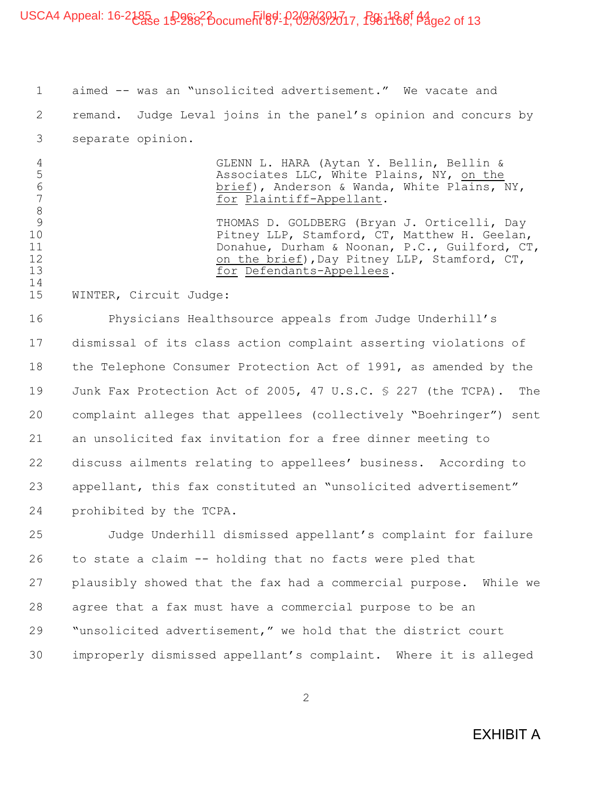## USCA4 Appeal: 16-2185<sub>e 1</sub>9-988<sup>2</sup> pocument 89-1, 02036393017, 1961 188, 04 ge2 of 13

1 aimed -- was an "unsolicited advertisement." We vacate and 2 remand. Judge Leval joins in the panel's opinion and concurs by 3 separate opinion.

4 GLENN L. HARA (Aytan Y. Bellin, Bellin & 5 Associates LLC, White Plains, NY, on the<br>6 brief), Anderson & Wanda, White Plains, 1 6 brief), Anderson & Wanda, White Plains, NY,<br>
For Plaintiff-Appellant. for Plaintiff-Appellant. THOMAS D. GOLDBERG (Bryan J. Orticelli, Day 10 Pitney LLP, Stamford, CT, Matthew H. Geelan,<br>11 Donahue, Durham & Noonan, P.C., Guilford, CT 11 Donahue, Durham & Noonan, P.C., Guilford, CT,<br>12 on the brief), Dav Pitnev LLP, Stamford, CT, 12 on the brief),Day Pitney LLP, Stamford, CT,<br>13 for Defendants-Appellees. for Defendants-Appellees.

15 WINTER, Circuit Judge:

8<br>9

14

16 Physicians Healthsource appeals from Judge Underhill's 17 dismissal of its class action complaint asserting violations of 18 the Telephone Consumer Protection Act of 1991, as amended by the 19 Junk Fax Protection Act of 2005, 47 U.S.C. § 227 (the TCPA). The 20 complaint alleges that appellees (collectively "Boehringer") sent 21 an unsolicited fax invitation for a free dinner meeting to 22 discuss ailments relating to appellees' business. According to 23 appellant, this fax constituted an "unsolicited advertisement" 24 prohibited by the TCPA.

25 Judge Underhill dismissed appellant's complaint for failure 26 to state a claim -- holding that no facts were pled that 27 plausibly showed that the fax had a commercial purpose. While we 28 agree that a fax must have a commercial purpose to be an 29 "unsolicited advertisement," we hold that the district court 30 improperly dismissed appellant's complaint. Where it is alleged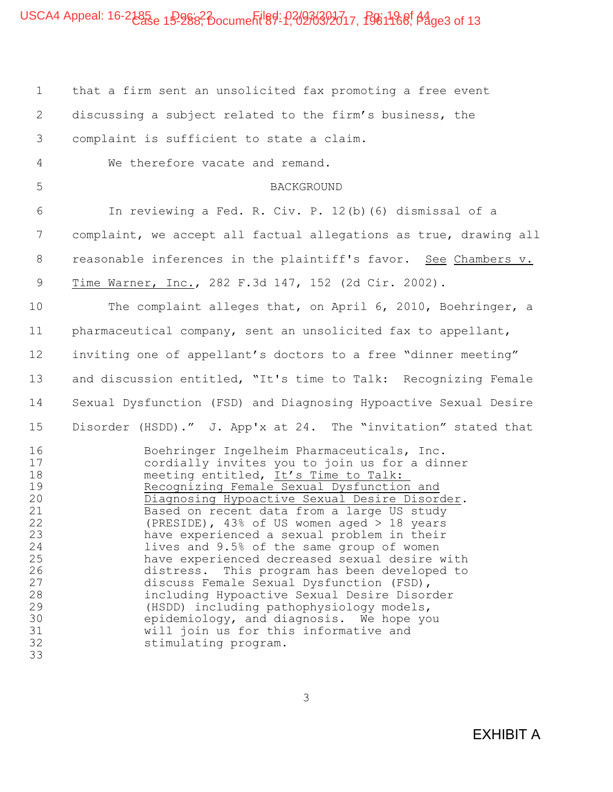1 that a firm sent an unsolicited fax promoting a free event 2 discussing a subject related to the firm's business, the 3 complaint is sufficient to state a claim. 4 We therefore vacate and remand. 5 BACKGROUND 6 In reviewing a Fed. R. Civ. P. 12(b)(6) dismissal of a 7 complaint, we accept all factual allegations as true, drawing all 8 reasonable inferences in the plaintiff's favor. See Chambers v. 9 Time Warner, Inc., 282 F.3d 147, 152 (2d Cir. 2002). 10 The complaint alleges that, on April 6, 2010, Boehringer, a 11 pharmaceutical company, sent an unsolicited fax to appellant, 12 inviting one of appellant's doctors to a free "dinner meeting" 13 and discussion entitled, "It's time to Talk: Recognizing Female 14 Sexual Dysfunction (FSD) and Diagnosing Hypoactive Sexual Desire 15 Disorder (HSDD)." J. App'x at 24. The "invitation" stated that 16 Boehringer Ingelheim Pharmaceuticals, Inc.<br>17 cordially invites you to join us for a din cordially invites you to join us for a dinner 18 meeting entitled, It's Time to Talk: 19 Recognizing Female Sexual Dysfunction and 20 Diagnosing Hypoactive Sexual Desire Disorder.<br>21 Based on recent data from a large US study 21 Based on recent data from a large US study<br>22 (PRESIDE), 43% of US women aged > 18 years 22 (PRESIDE), 43% of US women aged > 18 years 23 have experienced a sexual problem in their<br>24 have sand 9.5% of the same group of women 24 1ives and 9.5% of the same group of women<br>25 have experienced decreased sexual desire w have experienced decreased sexual desire with 26 distress. This program has been developed to<br>27 discuss Female Sexual Dysfunction (FSD), 27 discuss Female Sexual Dysfunction (FSD),<br>28 including Hypoactive Sexual Desire Disor 28 including Hypoactive Sexual Desire Disorder<br>29 (HSDD) including pathophysiology models, (HSDD) including pathophysiology models, 30 epidemiology, and diagnosis. We hope you 31 will join us for this informative and<br>32 stimulating program. stimulating program. 33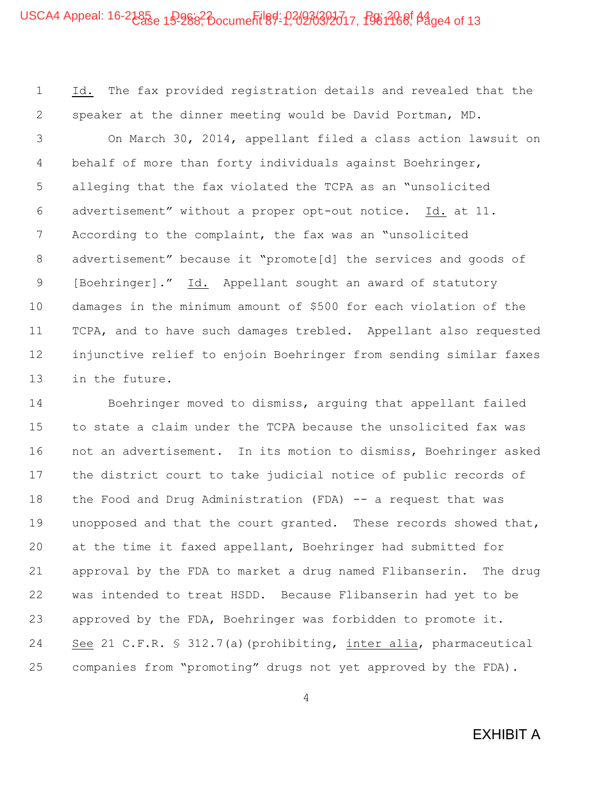## USCA4 Appeal: 16-2185<sub>e 1</sub>9-988<sup>2</sup> pocument 89-1, 02036392617, 1961468, 04ge4 of 13

1 Id. The fax provided registration details and revealed that the 2 speaker at the dinner meeting would be David Portman, MD.

3 On March 30, 2014, appellant filed a class action lawsuit on 4 behalf of more than forty individuals against Boehringer, 5 alleging that the fax violated the TCPA as an "unsolicited 6 advertisement" without a proper opt-out notice. Id. at 11. 7 According to the complaint, the fax was an "unsolicited 8 advertisement" because it "promote[d] the services and goods of 9 [Boehringer]." Id. Appellant sought an award of statutory 10 damages in the minimum amount of \$500 for each violation of the 11 TCPA, and to have such damages trebled. Appellant also requested 12 injunctive relief to enjoin Boehringer from sending similar faxes 13 in the future.

14 Boehringer moved to dismiss, arguing that appellant failed 15 to state a claim under the TCPA because the unsolicited fax was 16 not an advertisement. In its motion to dismiss, Boehringer asked 17 the district court to take judicial notice of public records of 18 the Food and Drug Administration (FDA) -- a request that was 19 unopposed and that the court granted. These records showed that, 20 at the time it faxed appellant, Boehringer had submitted for 21 approval by the FDA to market a drug named Flibanserin. The drug 22 was intended to treat HSDD. Because Flibanserin had yet to be 23 approved by the FDA, Boehringer was forbidden to promote it. 24 See 21 C.F.R. § 312.7(a)(prohibiting, inter alia, pharmaceutical 25 companies from "promoting" drugs not yet approved by the FDA).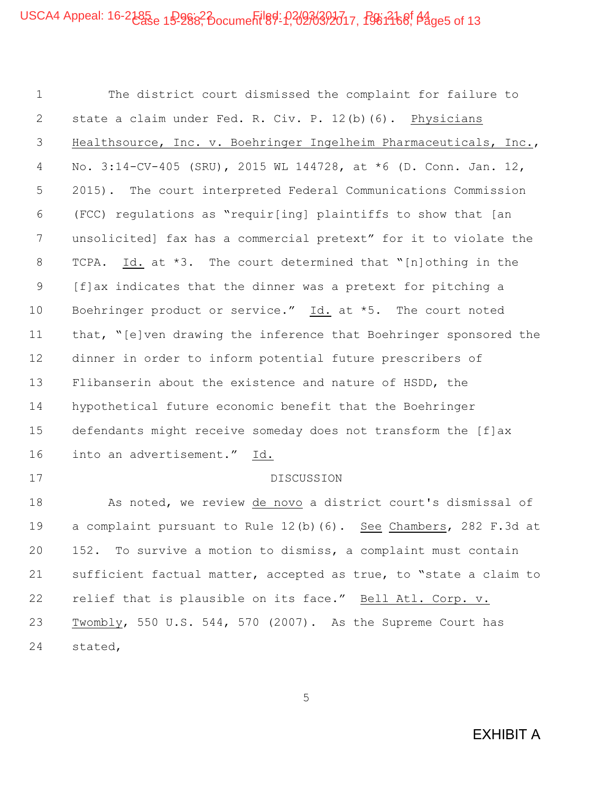## USCA4 Appeal: 16-2185<sub>e 1</sub>9-988<sup>2</sup> pocument 89-1, 02036393017, 1961468, 04ge5 of 13

1 The district court dismissed the complaint for failure to 2 state a claim under Fed. R. Civ. P. 12(b)(6). Physicians 3 Healthsource, Inc. v. Boehringer Ingelheim Pharmaceuticals, Inc., 4 No. 3:14-CV-405 (SRU), 2015 WL 144728, at \*6 (D. Conn. Jan. 12, 5 2015). The court interpreted Federal Communications Commission 6 (FCC) regulations as "requir[ing] plaintiffs to show that [an 7 unsolicited] fax has a commercial pretext" for it to violate the 8 TCPA. Id. at \*3. The court determined that "[n]othing in the 9 [f]ax indicates that the dinner was a pretext for pitching a 10 Boehringer product or service." Id. at \*5. The court noted 11 that, "[e]ven drawing the inference that Boehringer sponsored the 12 dinner in order to inform potential future prescribers of 13 Flibanserin about the existence and nature of HSDD, the 14 hypothetical future economic benefit that the Boehringer 15 defendants might receive someday does not transform the [f]ax 16 into an advertisement." Id. 17 DISCUSSION 18 As noted, we review de novo a district court's dismissal of 19 a complaint pursuant to Rule 12(b)(6). See Chambers, 282 F.3d at 20 152. To survive a motion to dismiss, a complaint must contain 21 sufficient factual matter, accepted as true, to "state a claim to 22 relief that is plausible on its face." Bell Atl. Corp. v.

23 Twombly, 550 U.S. 544, 570 (2007). As the Supreme Court has 24 stated,

5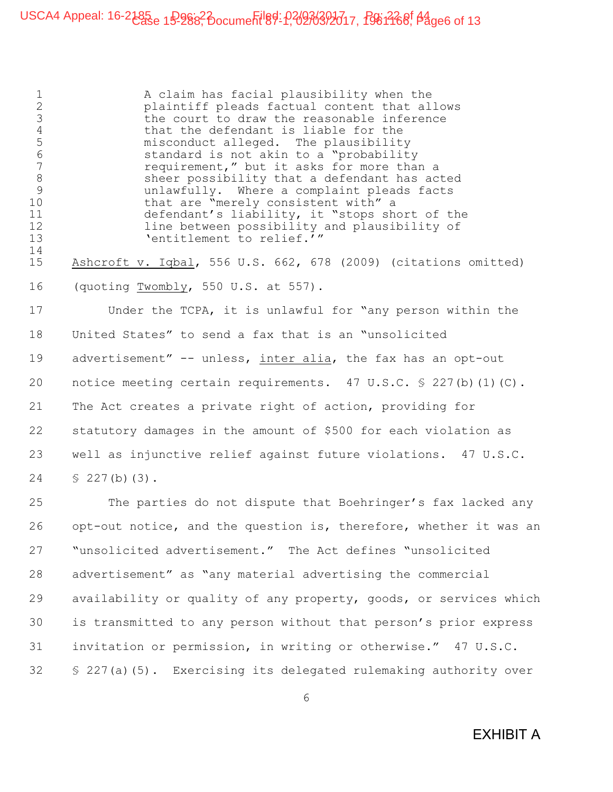1 A claim has facial plausibility when the 2 plaintiff pleads factual content that allows 3 the court to draw the reasonable inference 4 that the defendant is liable for the<br>5 misconduct alleged. The plausibilit 5 misconduct alleged. The plausibility<br>6 standard is not akin to a "probabilit 6 standard is not akin to a "probability"<br>7 sequirement," but it asks for more than requirement," but it asks for more than a 8 sheer possibility that a defendant has acted 9 unlawfully. Where a complaint pleads facts 10 that are "merely consistent with" a 11 defendant's liability, it "stops short of the 12 line between possibility and plausibility of 13 Tentitlement to relief.'" 14 15 Ashcroft v. Iqbal, 556 U.S. 662, 678 (2009) (citations omitted) 16 (quoting Twombly, 550 U.S. at 557). 17 Under the TCPA, it is unlawful for "any person within the 18 United States" to send a fax that is an "unsolicited 19 advertisement" -- unless, inter alia, the fax has an opt-out 20 notice meeting certain requirements. 47 U.S.C. § 227(b)(1)(C). 21 The Act creates a private right of action, providing for 22 statutory damages in the amount of \$500 for each violation as 23 well as injunctive relief against future violations. 47 U.S.C. 24 § 227(b)(3). 25 The parties do not dispute that Boehringer's fax lacked any 26 opt-out notice, and the question is, therefore, whether it was an 27 "unsolicited advertisement." The Act defines "unsolicited 28 advertisement" as "any material advertising the commercial

29 availability or quality of any property, goods, or services which 30 is transmitted to any person without that person's prior express 31 invitation or permission, in writing or otherwise." 47 U.S.C. 32 § 227(a)(5). Exercising its delegated rulemaking authority over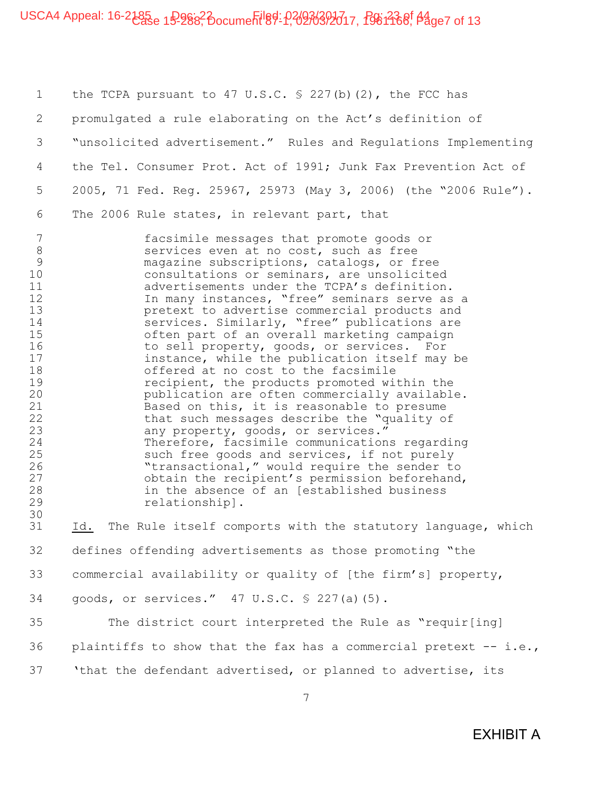## USCA4 Appeal: 16-2185<sub>e 1</sub>9-988<sup>2</sup> pocument 89-1, 02036392617, 1961368, 04 ge7 of 13

1 the TCPA pursuant to 47 U.S.C. § 227(b)(2), the FCC has 2 promulgated a rule elaborating on the Act's definition of 3 "unsolicited advertisement." Rules and Regulations Implementing 4 the Tel. Consumer Prot. Act of 1991; Junk Fax Prevention Act of 5 2005, 71 Fed. Reg. 25967, 25973 (May 3, 2006) (the "2006 Rule"). 6 The 2006 Rule states, in relevant part, that

7 facsimile messages that promote goods or 8 services even at no cost, such as free 9 magazine subscriptions, catalogs, or free 10 consultations or seminars, are unsolicited 11 advertisements under the TCPA's definition. 12 12 In many instances, "free" seminars serve as a 13 pretext to advertise commercial products and 14 services. Similarly, "free" publications are 15 often part of an overall marketing campaign<br>16 16 to sell property, goods, or services. For 16 to sell property, goods, or services. For<br>17 instance, while the publication itself may instance, while the publication itself may be 18 offered at no cost to the facsimile 19 recipient, the products promoted within the 20 publication are often commercially available. 21 Based on this, it is reasonable to presume<br>22 that such messages describe the "quality or 22 that such messages describe the "quality of<br>23 any property, goods, or services." 23 any property, goods, or services."<br>24 Therefore, facsimile communication Therefore, facsimile communications regarding 25 such free goods and services, if not purely 26 "transactional," would require the sender to<br>27 cobtain the recipient's permission beforehand obtain the recipient's permission beforehand, 28 in the absence of an [established business 29 relationship]. 30

31 Id. The Rule itself comports with the statutory language, which 32 defines offending advertisements as those promoting "the 33 commercial availability or quality of [the firm's] property, 34 goods, or services." 47 U.S.C. § 227(a)(5).

35 The district court interpreted the Rule as "requir[ing] 36 plaintiffs to show that the fax has a commercial pretext  $-$  i.e., 37 'that the defendant advertised, or planned to advertise, its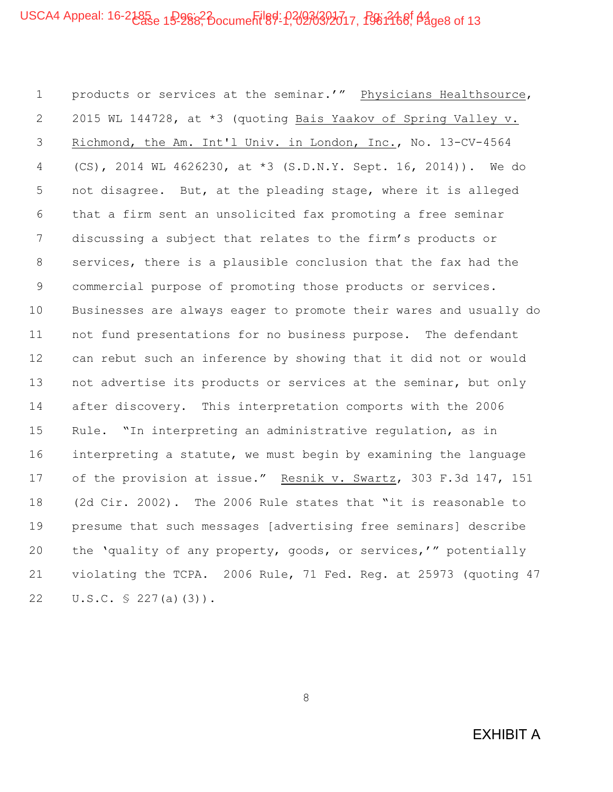1 products or services at the seminar.'" Physicians Healthsource, 2 2015 WL 144728, at \*3 (quoting Bais Yaakov of Spring Valley v. 3 Richmond, the Am. Int'l Univ. in London, Inc., No. 13-CV-4564 4 (CS), 2014 WL 4626230, at \*3 (S.D.N.Y. Sept. 16, 2014)). We do 5 not disagree. But, at the pleading stage, where it is alleged 6 that a firm sent an unsolicited fax promoting a free seminar 7 discussing a subject that relates to the firm's products or 8 services, there is a plausible conclusion that the fax had the 9 commercial purpose of promoting those products or services. 10 Businesses are always eager to promote their wares and usually do 11 not fund presentations for no business purpose. The defendant 12 can rebut such an inference by showing that it did not or would 13 not advertise its products or services at the seminar, but only 14 after discovery. This interpretation comports with the 2006 15 Rule. "In interpreting an administrative regulation, as in 16 interpreting a statute, we must begin by examining the language 17 of the provision at issue." Resnik v. Swartz, 303 F.3d 147, 151 18 (2d Cir. 2002). The 2006 Rule states that "it is reasonable to 19 presume that such messages [advertising free seminars] describe 20 the 'quality of any property, goods, or services,'" potentially 21 violating the TCPA. 2006 Rule, 71 Fed. Reg. at 25973 (quoting 47 22 U.S.C. § 227(a)(3)).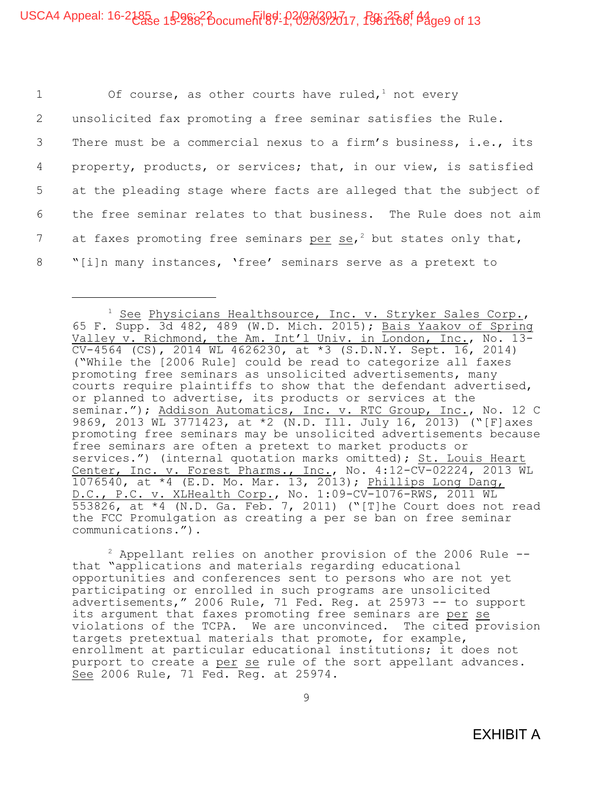1 Of course, as other courts have ruled, $1$  not every 2 unsolicited fax promoting a free seminar satisfies the Rule. 3 There must be a commercial nexus to a firm's business, i.e., its 4 property, products, or services; that, in our view, is satisfied 5 at the pleading stage where facts are alleged that the subject of 6 the free seminar relates to that business. The Rule does not aim 7 at faxes promoting free seminars per se,<sup>2</sup> but states only that, 8 "[i]n many instances, 'free' seminars serve as a pretext to

 $2$  Appellant relies on another provision of the 2006 Rule  $-$ that "applications and materials regarding educational opportunities and conferences sent to persons who are not yet participating or enrolled in such programs are unsolicited advertisements," 2006 Rule, 71 Fed. Reg. at 25973 -- to support its argument that faxes promoting free seminars are per se violations of the TCPA. We are unconvinced. The cited provision targets pretextual materials that promote, for example, enrollment at particular educational institutions; it does not purport to create a per se rule of the sort appellant advances. See 2006 Rule, 71 Fed. Reg. at 25974.

<sup>&</sup>lt;sup>1</sup> See Physicians Healthsource, Inc. v. Stryker Sales Corp., 65 F. Supp. 3d 482, 489 (W.D. Mich. 2015); Bais Yaakov of Spring Valley v. Richmond, the Am. Int'l Univ. in London, Inc., No. 13- CV-4564 (CS), 2014 WL 4626230, at \*3 (S.D.N.Y. Sept. 16, 2014) ("While the [2006 Rule] could be read to categorize all faxes promoting free seminars as unsolicited advertisements, many courts require plaintiffs to show that the defendant advertised, or planned to advertise, its products or services at the seminar."); Addison Automatics, Inc. v. RTC Group, Inc., No. 12 C 9869, 2013 WL 3771423, at \*2 (N.D. Ill. July 16, 2013) ("[F]axes promoting free seminars may be unsolicited advertisements because free seminars are often a pretext to market products or services.") (internal quotation marks omitted); St. Louis Heart Center, Inc. v. Forest Pharms., Inc., No. 4:12-CV-02224, 2013 WL 1076540, at \*4 (E.D. Mo. Mar. 13, 2013); Phillips Long Dang, D.C., P.C. v. XLHealth Corp., No. 1:09-CV-1076-RWS, 2011 WL 553826, at \*4 (N.D. Ga. Feb. 7, 2011) ("[T]he Court does not read the FCC Promulgation as creating a per se ban on free seminar communications.").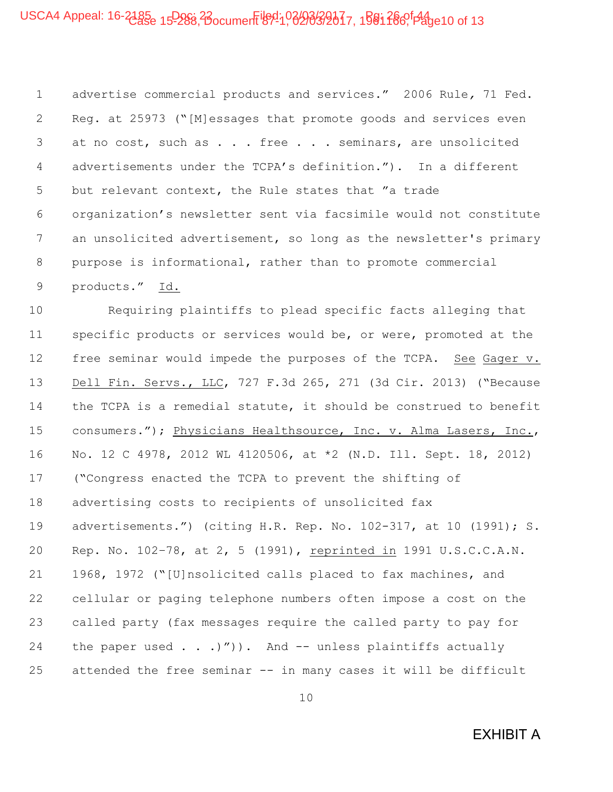## USCA4 Appeal: 16-2185<sub>e 15</sub>Doc<sub>i</sub>, 23 ocument 69 10, 02/03/2017, 1581 266<sup>0 pag</sup>e10 of 13

1 advertise commercial products and services." 2006 Rule*,* 71 Fed. 2 Reg. at 25973 ("[M]essages that promote goods and services even 3 at no cost, such as . . . free . . . seminars, are unsolicited 4 advertisements under the TCPA's definition."). In a different 5 but relevant context, the Rule states that "a trade 6 organization's newsletter sent via facsimile would not constitute 7 an unsolicited advertisement, so long as the newsletter's primary 8 purpose is informational, rather than to promote commercial 9 products." Id.

10 Requiring plaintiffs to plead specific facts alleging that 11 specific products or services would be, or were, promoted at the 12 free seminar would impede the purposes of the TCPA. See Gager v. 13 Dell Fin. Servs., LLC, 727 F.3d 265, 271 (3d Cir. 2013) ("Because 14 the TCPA is a remedial statute, it should be construed to benefit 15 consumers."); Physicians Healthsource, Inc. v. Alma Lasers, Inc., 16 No. 12 C 4978, 2012 WL 4120506, at \*2 (N.D. Ill. Sept. 18, 2012) 17 ("Congress enacted the TCPA to prevent the shifting of 18 advertising costs to recipients of unsolicited fax 19 advertisements.") (citing H.R. Rep. No. 102-317, at 10 (1991); S. 20 Rep. No. 102–78, at 2, 5 (1991), reprinted in 1991 U.S.C.C.A.N. 21 1968, 1972 ("[U]nsolicited calls placed to fax machines, and 22 cellular or paging telephone numbers often impose a cost on the 23 called party (fax messages require the called party to pay for 24 the paper used . . .)")). And -- unless plaintiffs actually 25 attended the free seminar -- in many cases it will be difficult

10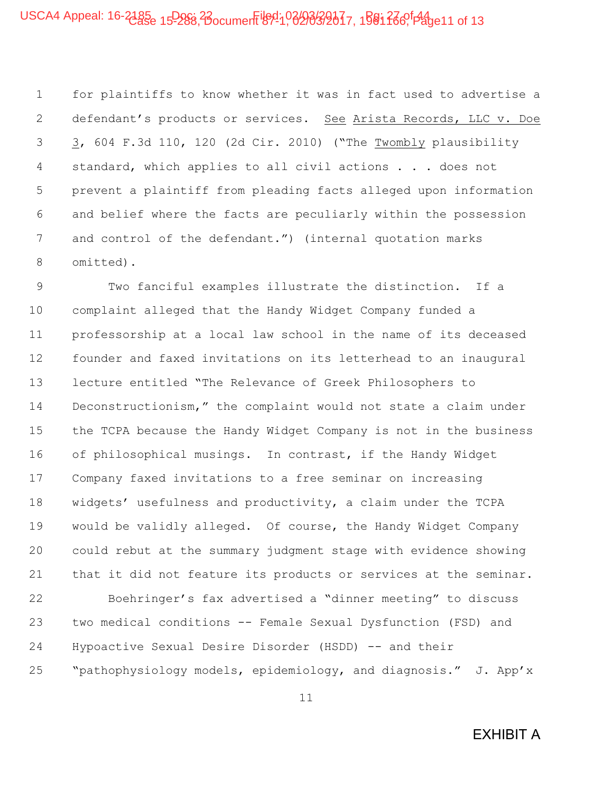1 for plaintiffs to know whether it was in fact used to advertise a 2 defendant's products or services. See Arista Records, LLC v. Doe 3 3, 604 F.3d 110, 120 (2d Cir. 2010) ("The Twombly plausibility 4 standard, which applies to all civil actions . . . does not 5 prevent a plaintiff from pleading facts alleged upon information 6 and belief where the facts are peculiarly within the possession 7 and control of the defendant.") (internal quotation marks 8 omitted).

9 Two fanciful examples illustrate the distinction. If a 10 complaint alleged that the Handy Widget Company funded a 11 professorship at a local law school in the name of its deceased 12 founder and faxed invitations on its letterhead to an inaugural 13 lecture entitled "The Relevance of Greek Philosophers to 14 Deconstructionism," the complaint would not state a claim under 15 the TCPA because the Handy Widget Company is not in the business 16 of philosophical musings. In contrast, if the Handy Widget 17 Company faxed invitations to a free seminar on increasing 18 widgets' usefulness and productivity, a claim under the TCPA 19 would be validly alleged. Of course, the Handy Widget Company 20 could rebut at the summary judgment stage with evidence showing 21 that it did not feature its products or services at the seminar.

22 Boehringer's fax advertised a "dinner meeting" to discuss 23 two medical conditions -- Female Sexual Dysfunction (FSD) and 24 Hypoactive Sexual Desire Disorder (HSDD) -- and their 25 "pathophysiology models, epidemiology, and diagnosis." J. App'x

11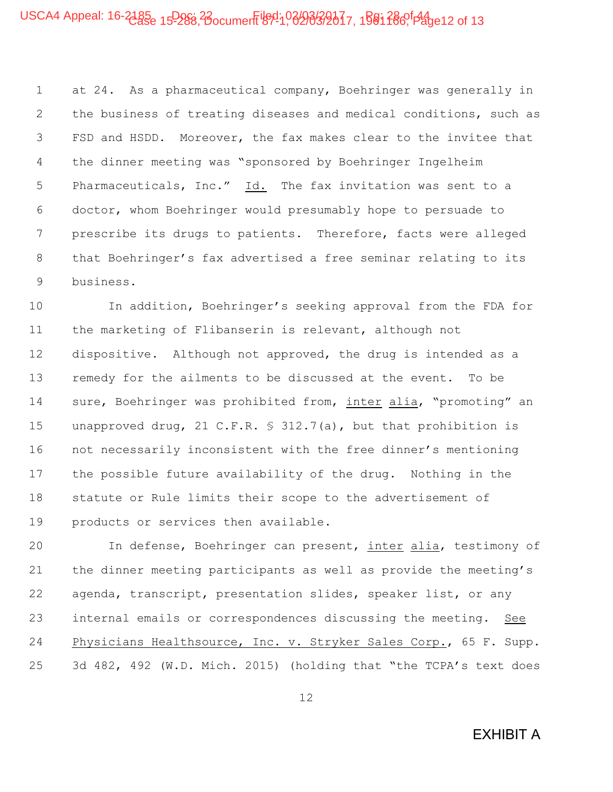## USCA4 Appeal: 16-2185<sub>e 15</sub>Doc<sub>8</sub>, 23 ocument 89-1, 03/03/2017, 1581 286<sup>0 pag</sup>e12 of 13

1 at 24. As a pharmaceutical company, Boehringer was generally in 2 the business of treating diseases and medical conditions, such as 3 FSD and HSDD. Moreover, the fax makes clear to the invitee that 4 the dinner meeting was "sponsored by Boehringer Ingelheim 5 Pharmaceuticals, Inc." Id. The fax invitation was sent to a 6 doctor, whom Boehringer would presumably hope to persuade to 7 prescribe its drugs to patients. Therefore, facts were alleged 8 that Boehringer's fax advertised a free seminar relating to its 9 business.

10 In addition, Boehringer's seeking approval from the FDA for 11 the marketing of Flibanserin is relevant, although not 12 dispositive. Although not approved, the drug is intended as a 13 remedy for the ailments to be discussed at the event. To be 14 sure, Boehringer was prohibited from, inter alia, "promoting" an 15 unapproved drug, 21 C.F.R. § 312.7(a), but that prohibition is 16 not necessarily inconsistent with the free dinner's mentioning 17 the possible future availability of the drug. Nothing in the 18 statute or Rule limits their scope to the advertisement of 19 products or services then available.

20 In defense, Boehringer can present, inter alia, testimony of 21 the dinner meeting participants as well as provide the meeting's 22 agenda, transcript, presentation slides, speaker list, or any 23 internal emails or correspondences discussing the meeting. See 24 Physicians Healthsource, Inc. v. Stryker Sales Corp., 65 F. Supp. 25 3d 482, 492 (W.D. Mich. 2015) (holding that "the TCPA's text does

12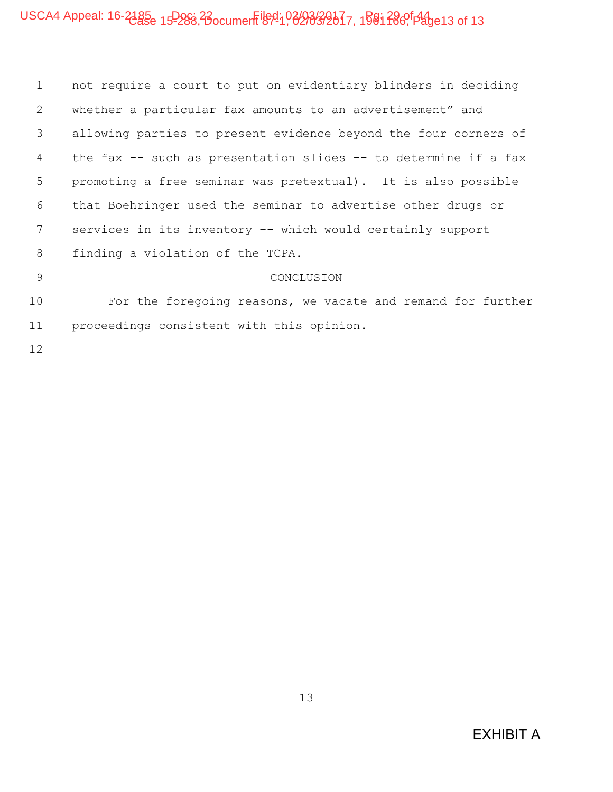## USCA4 Appeal: 16-2185e 15-288, Bocument $\frac{1691}{100}$   $\frac{299}{320}$   $\frac{21}{17}$ , 1581  $\frac{28}{100}$   $\frac{12}{13}$  of 13

| $\mathbf{1}$  | not require a court to put on evidentiary blinders in deciding    |
|---------------|-------------------------------------------------------------------|
| 2             | whether a particular fax amounts to an advertisement" and         |
| 3             | allowing parties to present evidence beyond the four corners of   |
| 4             | the fax $-$ such as presentation slides $-$ to determine if a fax |
| 5             | promoting a free seminar was pretextual). It is also possible     |
| 6             | that Boehringer used the seminar to advertise other drugs or      |
| 7             | services in its inventory -- which would certainly support        |
| 8             | finding a violation of the TCPA.                                  |
| $\mathcal{Q}$ | CONCLUSION                                                        |
| 10            | For the foregoing reasons, we vacate and remand for further       |
| 11            | proceedings consistent with this opinion.                         |
| 12            |                                                                   |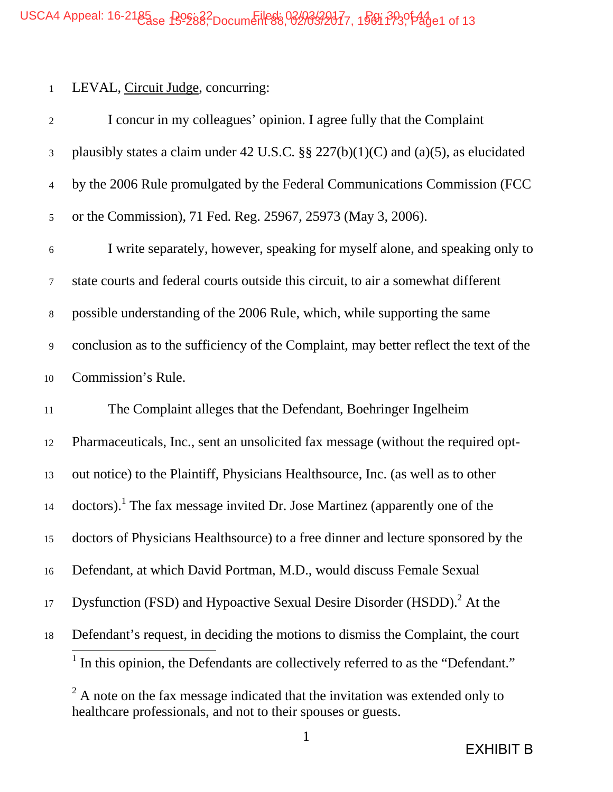### 1 LEVAL, Circuit Judge, concurring:

| $\boldsymbol{2}$ | I concur in my colleagues' opinion. I agree fully that the Complaint                          |
|------------------|-----------------------------------------------------------------------------------------------|
| $\mathfrak{Z}$   | plausibly states a claim under 42 U.S.C. $\S$ 227(b)(1)(C) and (a)(5), as elucidated          |
| 4                | by the 2006 Rule promulgated by the Federal Communications Commission (FCC)                   |
| 5                | or the Commission), 71 Fed. Reg. 25967, 25973 (May 3, 2006).                                  |
| 6                | I write separately, however, speaking for myself alone, and speaking only to                  |
| 7                | state courts and federal courts outside this circuit, to air a somewhat different             |
| $8\,$            | possible understanding of the 2006 Rule, which, while supporting the same                     |
| 9                | conclusion as to the sufficiency of the Complaint, may better reflect the text of the         |
| 10               | Commission's Rule.                                                                            |
| $11\,$           | The Complaint alleges that the Defendant, Boehringer Ingelheim                                |
| 12               | Pharmaceuticals, Inc., sent an unsolicited fax message (without the required opt-             |
| 13               | out notice) to the Plaintiff, Physicians Healthsource, Inc. (as well as to other              |
| 14               | doctors). The fax message invited Dr. Jose Martinez (apparently one of the                    |
| 15               | doctors of Physicians Healthsource) to a free dinner and lecture sponsored by the             |
| 16               | Defendant, at which David Portman, M.D., would discuss Female Sexual                          |
| 17               | Dysfunction (FSD) and Hypoactive Sexual Desire Disorder (HSDD). <sup>2</sup> At the           |
| 18               | Defendant's request, in deciding the motions to dismiss the Complaint, the court              |
|                  | <sup>1</sup> In this opinion, the Defendants are collectively referred to as the "Defendant." |

 $2^2$  A note on the fax message indicated that the invitation was extended only to healthcare professionals, and not to their spouses or guests.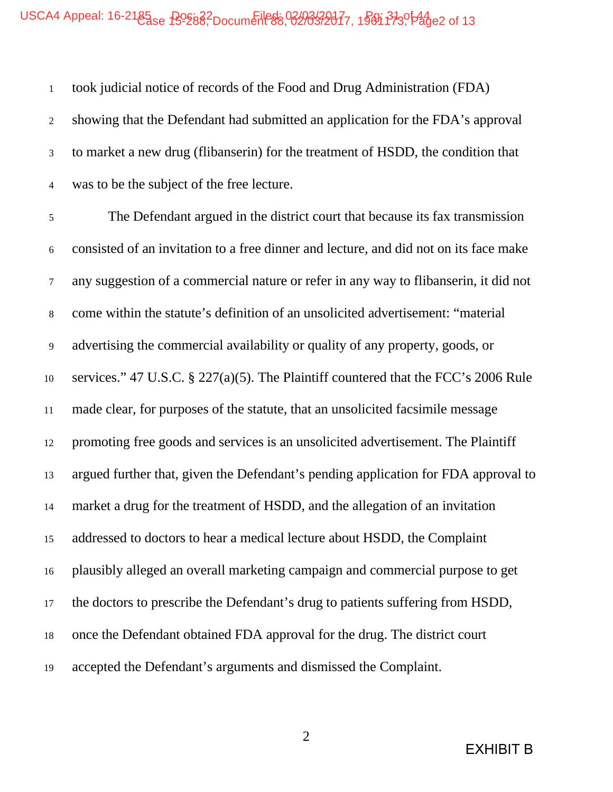## USCA4 Appeal: 16-2185 e B9882 Document 88, 02/03/2017, 1981 313, 144 e2 of 13

 took judicial notice of records of the Food and Drug Administration (FDA) showing that the Defendant had submitted an application for the FDA's approval to market a new drug (flibanserin) for the treatment of HSDD, the condition that was to be the subject of the free lecture. The Defendant argued in the district court that because its fax transmission consisted of an invitation to a free dinner and lecture, and did not on its face make any suggestion of a commercial nature or refer in any way to flibanserin, it did not come within the statute's definition of an unsolicited advertisement: "material advertising the commercial availability or quality of any property, goods, or services." 47 U.S.C. § 227(a)(5). The Plaintiff countered that the FCC's 2006 Rule made clear, for purposes of the statute, that an unsolicited facsimile message promoting free goods and services is an unsolicited advertisement. The Plaintiff argued further that, given the Defendant's pending application for FDA approval to market a drug for the treatment of HSDD, and the allegation of an invitation addressed to doctors to hear a medical lecture about HSDD, the Complaint plausibly alleged an overall marketing campaign and commercial purpose to get the doctors to prescribe the Defendant's drug to patients suffering from HSDD, once the Defendant obtained FDA approval for the drug. The district court accepted the Defendant's arguments and dismissed the Complaint.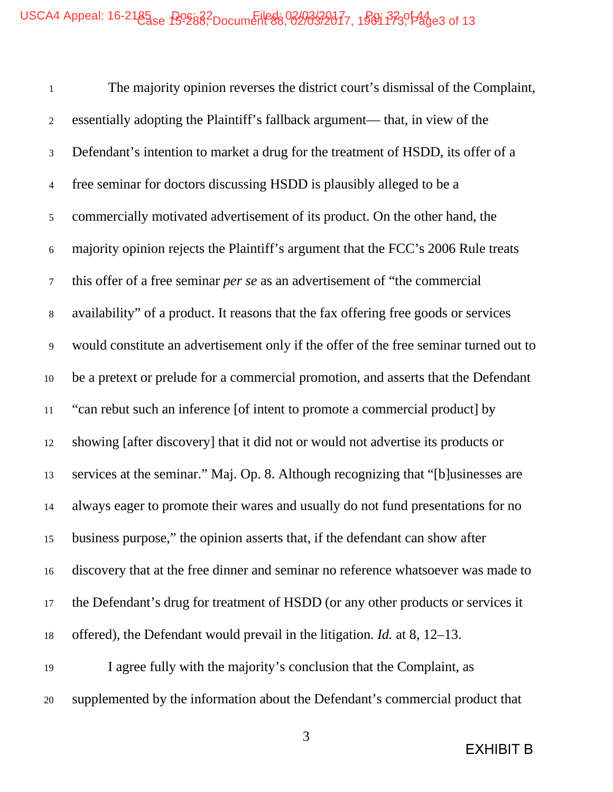The majority opinion reverses the district court's dismissal of the Complaint, essentially adopting the Plaintiff's fallback argument— that, in view of the Defendant's intention to market a drug for the treatment of HSDD, its offer of a free seminar for doctors discussing HSDD is plausibly alleged to be a commercially motivated advertisement of its product. On the other hand, the majority opinion rejects the Plaintiff's argument that the FCC's 2006 Rule treats this offer of a free seminar *per se* as an advertisement of "the commercial availability" of a product. It reasons that the fax offering free goods or services would constitute an advertisement only if the offer of the free seminar turned out to be a pretext or prelude for a commercial promotion, and asserts that the Defendant "can rebut such an inference [of intent to promote a commercial product] by showing [after discovery] that it did not or would not advertise its products or services at the seminar." Maj. Op. 8. Although recognizing that "[b]usinesses are always eager to promote their wares and usually do not fund presentations for no business purpose," the opinion asserts that, if the defendant can show after discovery that at the free dinner and seminar no reference whatsoever was made to the Defendant's drug for treatment of HSDD (or any other products or services it offered), the Defendant would prevail in the litigation. *Id.* at 8, 12–13. I agree fully with the majority's conclusion that the Complaint, as supplemented by the information about the Defendant's commercial product that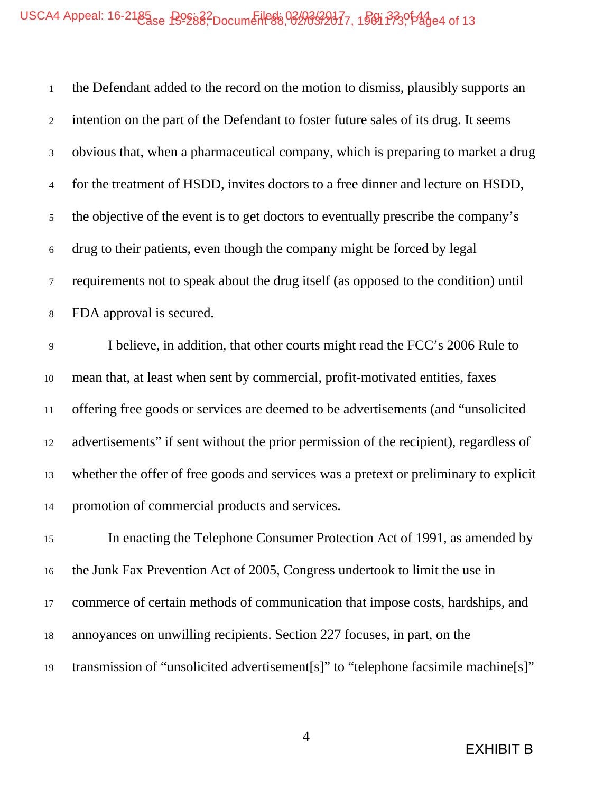## USCA4 Appeal: 16-2185 e B9882 Document 88, 02/03/2017, 1981 3330 144

| $\mathbf{1}$   | the Defendant added to the record on the motion to dismiss, plausibly supports an     |
|----------------|---------------------------------------------------------------------------------------|
| $\overline{2}$ | intention on the part of the Defendant to foster future sales of its drug. It seems   |
| $\mathfrak{Z}$ | obvious that, when a pharmaceutical company, which is preparing to market a drug      |
| 4              | for the treatment of HSDD, invites doctors to a free dinner and lecture on HSDD,      |
| 5              | the objective of the event is to get doctors to eventually prescribe the company's    |
| $6\,$          | drug to their patients, even though the company might be forced by legal              |
| $\tau$         | requirements not to speak about the drug itself (as opposed to the condition) until   |
| $\,8\,$        | FDA approval is secured.                                                              |
| $\overline{9}$ | I believe, in addition, that other courts might read the FCC's 2006 Rule to           |
| 10             | mean that, at least when sent by commercial, profit-motivated entities, faxes         |
| $11\,$         | offering free goods or services are deemed to be advertisements (and "unsolicited")   |
| 12             | advertisements" if sent without the prior permission of the recipient), regardless of |
| 13             | whether the offer of free goods and services was a pretext or preliminary to explicit |
| 14             | promotion of commercial products and services.                                        |
| 15             | In enacting the Telephone Consumer Protection Act of 1991, as amended by              |
| 16             | the Junk Fax Prevention Act of 2005, Congress undertook to limit the use in           |
| 17             | commerce of certain methods of communication that impose costs, hardships, and        |
| 18             | annoyances on unwilling recipients. Section 227 focuses, in part, on the              |
| 19             | transmission of "unsolicited advertisement[s]" to "telephone facsimile machine[s]"    |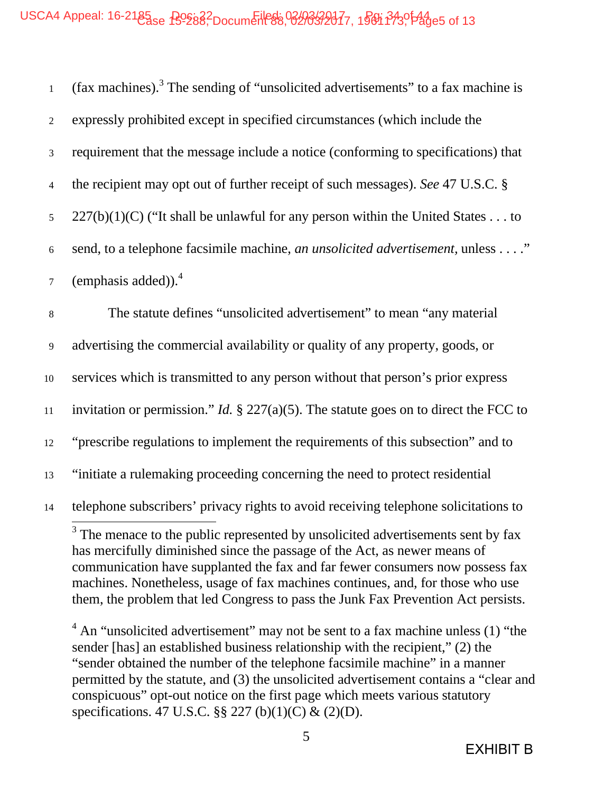| (fax machines). <sup>3</sup> The sending of "unsolicited advertisements" to a fax machine is   |
|------------------------------------------------------------------------------------------------|
| expressly prohibited except in specified circumstances (which include the                      |
| requirement that the message include a notice (conforming to specifications) that              |
| the recipient may opt out of further receipt of such messages). See 47 U.S.C. §                |
| $227(b)(1)(C)$ ("It shall be unlawful for any person within the United States to               |
| send, to a telephone facsimile machine, an unsolicited advertisement, unless"                  |
| (emphasis added)). $4$                                                                         |
| The statute defines "unsolicited advertisement" to mean "any material"                         |
| advertising the commercial availability or quality of any property, goods, or                  |
| services which is transmitted to any person without that person's prior express                |
| invitation or permission." <i>Id.</i> $\S$ 227(a)(5). The statute goes on to direct the FCC to |
| "prescribe regulations to implement the requirements of this subsection" and to                |
| "initiate a rulemaking proceeding concerning the need to protect residential                   |
| telephone subscribers' privacy rights to avoid receiving telephone solicitations to            |
| <sup>3</sup> The menace to the public represented by unsolicited advertisements sent by fax    |

has mercifully diminished since the passage of the Act, as newer means of communication have supplanted the fax and far fewer consumers now possess fax machines. Nonetheless, usage of fax machines continues, and, for those who use them, the problem that led Congress to pass the Junk Fax Prevention Act persists.

 $4$  An "unsolicited advertisement" may not be sent to a fax machine unless (1) "the sender [has] an established business relationship with the recipient," (2) the "sender obtained the number of the telephone facsimile machine" in a manner permitted by the statute, and (3) the unsolicited advertisement contains a "clear and conspicuous" opt-out notice on the first page which meets various statutory specifications. 47 U.S.C. §§ 227 (b)(1)(C) & (2)(D).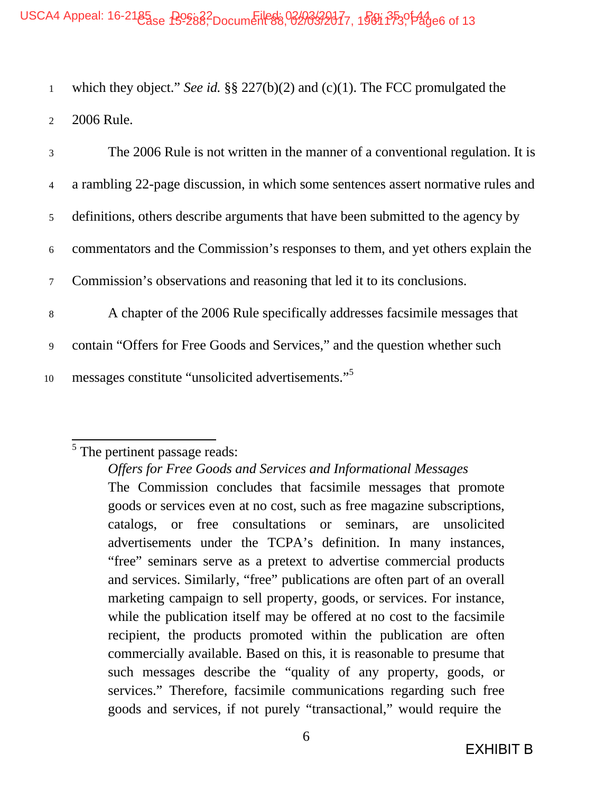1 which they object." *See id.* §§ 227(b)(2) and (c)(1). The FCC promulgated the 2 2006 Rule.

| 3               | The 2006 Rule is not written in the manner of a conventional regulation. It is    |
|-----------------|-----------------------------------------------------------------------------------|
| $\overline{4}$  | a rambling 22-page discussion, in which some sentences assert normative rules and |
| 5 <sup>5</sup>  | definitions, others describe arguments that have been submitted to the agency by  |
| 6               | commentators and the Commission's responses to them, and yet others explain the   |
| $7\overline{ }$ | Commission's observations and reasoning that led it to its conclusions.           |
| 8               | A chapter of the 2006 Rule specifically addresses facsimile messages that         |
| 9               | contain "Offers for Free Goods and Services," and the question whether such       |
| 10              | messages constitute "unsolicited advertisements."                                 |

# <sup>5</sup> The pertinent passage reads:

*Offers for Free Goods and Services and Informational Messages* The Commission concludes that facsimile messages that promote goods or services even at no cost, such as free magazine subscriptions, catalogs, or free consultations or seminars, are unsolicited advertisements under the TCPA's definition. In many instances, "free" seminars serve as a pretext to advertise commercial products and services. Similarly, "free" publications are often part of an overall marketing campaign to sell property, goods, or services. For instance, while the publication itself may be offered at no cost to the facsimile recipient, the products promoted within the publication are often commercially available. Based on this, it is reasonable to presume that such messages describe the "quality of any property, goods, or services." Therefore, facsimile communications regarding such free goods and services, if not purely "transactional," would require the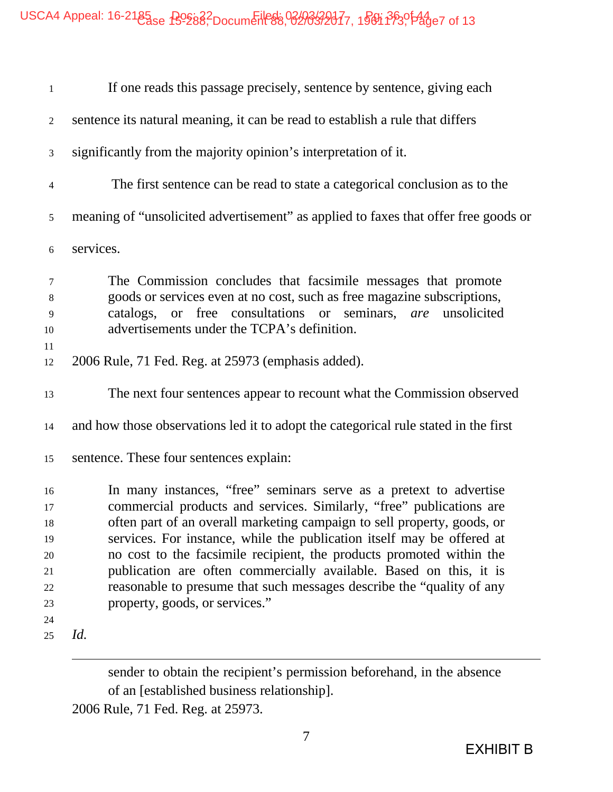| $\mathbf{1}$   | If one reads this passage precisely, sentence by sentence, giving each              |
|----------------|-------------------------------------------------------------------------------------|
| $\overline{c}$ | sentence its natural meaning, it can be read to establish a rule that differs       |
| $\mathfrak{Z}$ | significantly from the majority opinion's interpretation of it.                     |
| $\overline{4}$ | The first sentence can be read to state a categorical conclusion as to the          |
| $\mathfrak{S}$ | meaning of "unsolicited advertisement" as applied to faxes that offer free goods or |
| $\sqrt{6}$     | services.                                                                           |
| 7              | The Commission concludes that facsimile messages that promote                       |
| $\,8\,$        | goods or services even at no cost, such as free magazine subscriptions,             |
| $\mathbf{9}$   | catalogs, or free consultations or seminars, are<br>unsolicited                     |
| 10             | advertisements under the TCPA's definition.                                         |
| 11             |                                                                                     |
| 12             | 2006 Rule, 71 Fed. Reg. at 25973 (emphasis added).                                  |
| 13             | The next four sentences appear to recount what the Commission observed              |
| 14             | and how those observations led it to adopt the categorical rule stated in the first |
| 15             | sentence. These four sentences explain:                                             |
| 16             | In many instances, "free" seminars serve as a pretext to advertise                  |
| 17             | commercial products and services. Similarly, "free" publications are                |
| 18             | often part of an overall marketing campaign to sell property, goods, or             |
| 19             | services. For instance, while the publication itself may be offered at              |
| 20             | no cost to the facsimile recipient, the products promoted within the                |
| 21             | publication are often commercially available. Based on this, it is                  |
| 22             | reasonable to presume that such messages describe the "quality of any               |
| 23             | property, goods, or services."                                                      |
| 24             |                                                                                     |
| 25             | Id.                                                                                 |

sender to obtain the recipient's permission beforehand, in the absence of an [established business relationship].

2006 Rule, 71 Fed. Reg. at 25973.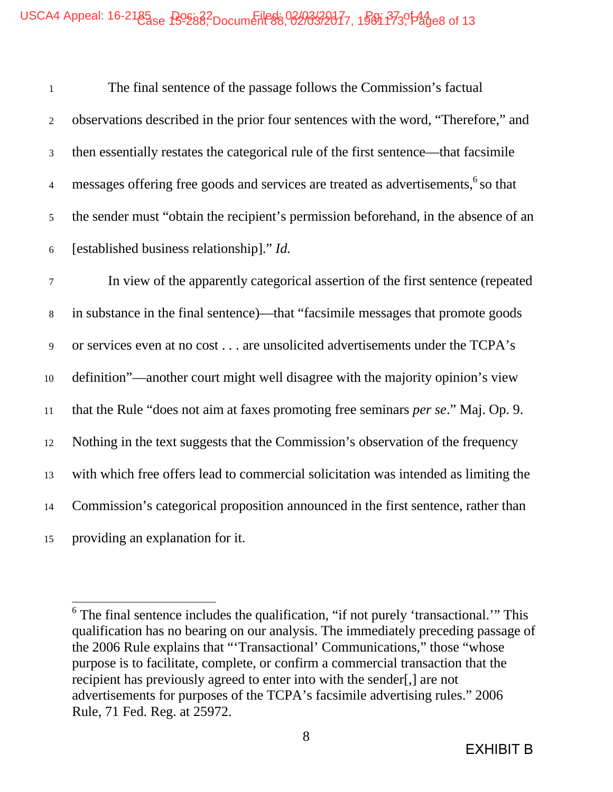# USCA4 Appeal: 16-2185 B988, Document 88, 02/03/2017, 19811 373, 144

| $\mathbf{1}$   | The final sentence of the passage follows the Commission's factual                            |
|----------------|-----------------------------------------------------------------------------------------------|
| $\overline{2}$ | observations described in the prior four sentences with the word, "Therefore," and            |
| $\mathfrak{Z}$ | then essentially restates the categorical rule of the first sentence—that facsimile           |
| $\overline{4}$ | messages offering free goods and services are treated as advertisements, <sup>6</sup> so that |
| 5 <sup>5</sup> | the sender must "obtain the recipient's permission beforehand, in the absence of an           |
| 6              | [established business relationship]." Id.                                                     |
| $\tau$         | In view of the apparently categorical assertion of the first sentence (repeated               |
| 8              | in substance in the final sentence)—that "facsimile messages that promote goods               |
| 9              | or services even at no cost are unsolicited advertisements under the TCPA's                   |
| 10             | definition"—another court might well disagree with the majority opinion's view                |

that the Rule "does not aim at faxes promoting free seminars *per se*." Maj. Op. 9.

Nothing in the text suggests that the Commission's observation of the frequency

with which free offers lead to commercial solicitation was intended as limiting the

Commission's categorical proposition announced in the first sentence, rather than

providing an explanation for it.

<sup>6</sup> The final sentence includes the qualification, "if not purely 'transactional.'" This qualification has no bearing on our analysis. The immediately preceding passage of the 2006 Rule explains that "'Transactional' Communications," those "whose purpose is to facilitate, complete, or confirm a commercial transaction that the recipient has previously agreed to enter into with the sender[,] are not advertisements for purposes of the TCPA's facsimile advertising rules." 2006 Rule, 71 Fed. Reg. at 25972.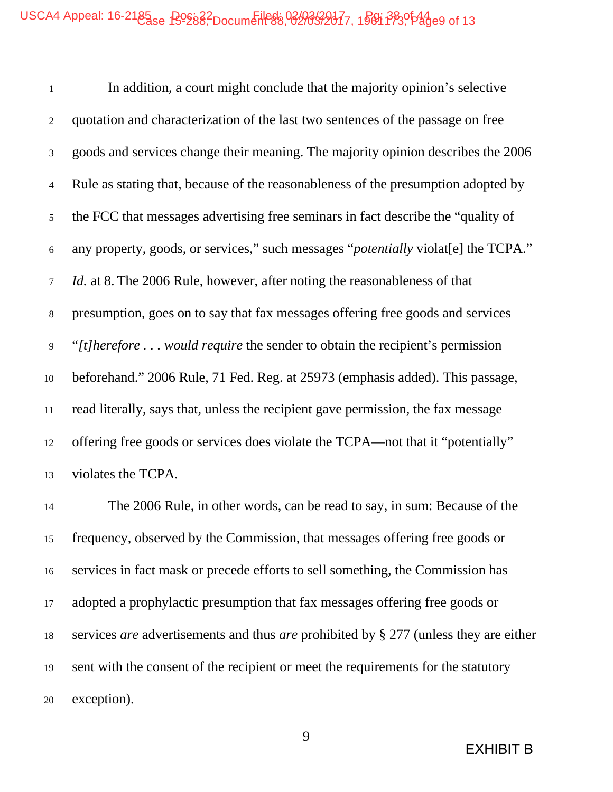In addition, a court might conclude that the majority opinion's selective quotation and characterization of the last two sentences of the passage on free goods and services change their meaning. The majority opinion describes the 2006 Rule as stating that, because of the reasonableness of the presumption adopted by the FCC that messages advertising free seminars in fact describe the "quality of any property, goods, or services," such messages "*potentially* violat[e] the TCPA." *Id.* at 8. The 2006 Rule, however, after noting the reasonableness of that presumption, goes on to say that fax messages offering free goods and services "*[t]herefore . . . would require* the sender to obtain the recipient's permission beforehand." 2006 Rule, 71 Fed. Reg. at 25973 (emphasis added). This passage, read literally, says that, unless the recipient gave permission, the fax message offering free goods or services does violate the TCPA—not that it "potentially" violates the TCPA.

 The 2006 Rule, in other words, can be read to say, in sum: Because of the frequency, observed by the Commission, that messages offering free goods or services in fact mask or precede efforts to sell something, the Commission has adopted a prophylactic presumption that fax messages offering free goods or services *are* advertisements and thus *are* prohibited by § 277 (unless they are either sent with the consent of the recipient or meet the requirements for the statutory exception).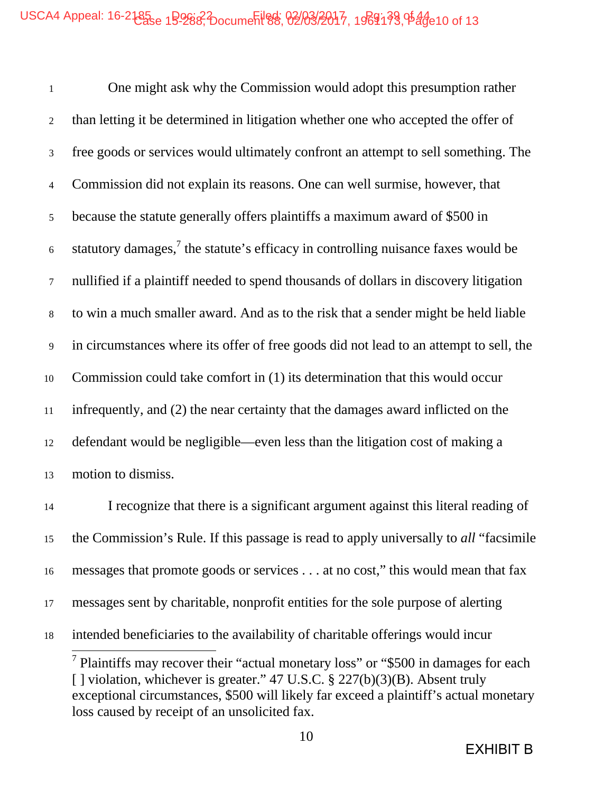One might ask why the Commission would adopt this presumption rather than letting it be determined in litigation whether one who accepted the offer of free goods or services would ultimately confront an attempt to sell something. The Commission did not explain its reasons. One can well surmise, however, that because the statute generally offers plaintiffs a maximum award of \$500 in 6 statutory damages,<sup>7</sup> the statute's efficacy in controlling nuisance faxes would be nullified if a plaintiff needed to spend thousands of dollars in discovery litigation to win a much smaller award. And as to the risk that a sender might be held liable in circumstances where its offer of free goods did not lead to an attempt to sell, the Commission could take comfort in (1) its determination that this would occur infrequently, and (2) the near certainty that the damages award inflicted on the defendant would be negligible—even less than the litigation cost of making a motion to dismiss.

 I recognize that there is a significant argument against this literal reading of the Commission's Rule. If this passage is read to apply universally to *all* "facsimile messages that promote goods or services . . . at no cost," this would mean that fax messages sent by charitable, nonprofit entities for the sole purpose of alerting intended beneficiaries to the availability of charitable offerings would incur

<sup>7</sup> Plaintiffs may recover their "actual monetary loss" or "\$500 in damages for each [ ] violation, whichever is greater." 47 U.S.C. § 227(b)(3)(B). Absent truly exceptional circumstances, \$500 will likely far exceed a plaintiff's actual monetary loss caused by receipt of an unsolicited fax.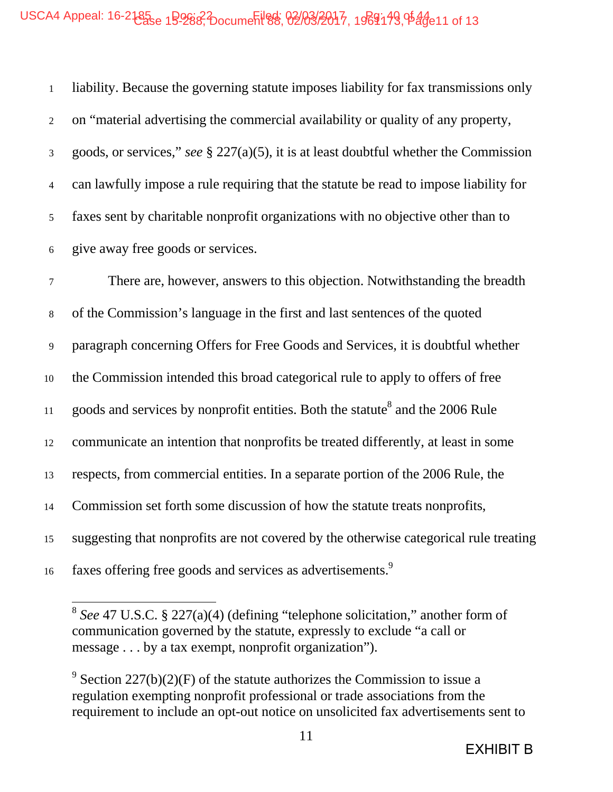liability. Because the governing statute imposes liability for fax transmissions only on "material advertising the commercial availability or quality of any property, goods, or services," *see* § 227(a)(5), it is at least doubtful whether the Commission can lawfully impose a rule requiring that the statute be read to impose liability for faxes sent by charitable nonprofit organizations with no objective other than to give away free goods or services.

 There are, however, answers to this objection. Notwithstanding the breadth of the Commission's language in the first and last sentences of the quoted paragraph concerning Offers for Free Goods and Services, it is doubtful whether the Commission intended this broad categorical rule to apply to offers of free 11 goods and services by nonprofit entities. Both the statute<sup>8</sup> and the 2006 Rule communicate an intention that nonprofits be treated differently, at least in some respects, from commercial entities. In a separate portion of the 2006 Rule, the Commission set forth some discussion of how the statute treats nonprofits, suggesting that nonprofits are not covered by the otherwise categorical rule treating 16 faxes offering free goods and services as advertisements.<sup>9</sup>

*See* 47 U.S.C. § 227(a)(4) (defining "telephone solicitation," another form of communication governed by the statute, expressly to exclude "a call or message . . . by a tax exempt, nonprofit organization").

<sup>&</sup>lt;sup>9</sup> Section 227(b)(2)(F) of the statute authorizes the Commission to issue a regulation exempting nonprofit professional or trade associations from the requirement to include an opt-out notice on unsolicited fax advertisements sent to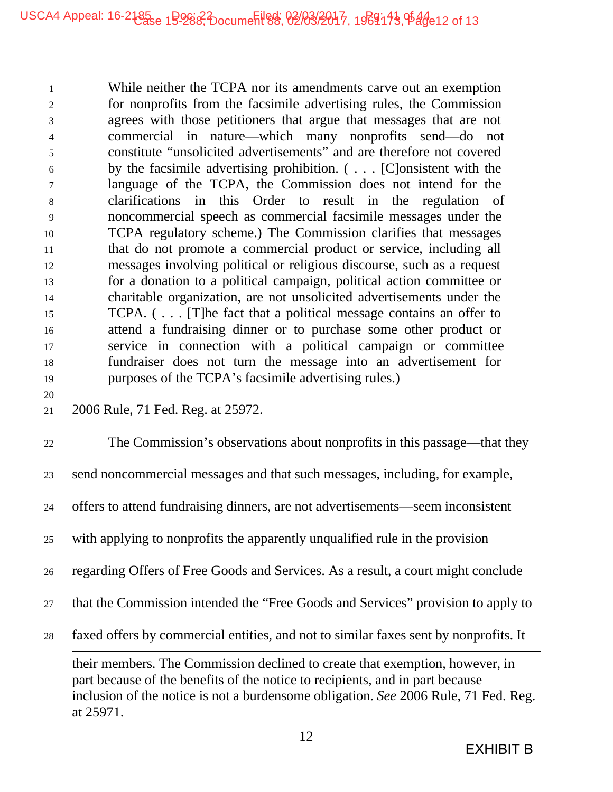While neither the TCPA nor its amendments carve out an exemption for nonprofits from the facsimile advertising rules, the Commission agrees with those petitioners that argue that messages that are not commercial in nature—which many nonprofits send—do not constitute "unsolicited advertisements" and are therefore not covered by the facsimile advertising prohibition. ( . . . [C]onsistent with the language of the TCPA, the Commission does not intend for the clarifications in this Order to result in the regulation of noncommercial speech as commercial facsimile messages under the TCPA regulatory scheme.) The Commission clarifies that messages that do not promote a commercial product or service, including all messages involving political or religious discourse, such as a request for a donation to a political campaign, political action committee or charitable organization, are not unsolicited advertisements under the TCPA. ( . . . [T]he fact that a political message contains an offer to attend a fundraising dinner or to purchase some other product or service in connection with a political campaign or committee fundraiser does not turn the message into an advertisement for purposes of the TCPA's facsimile advertising rules.)

#### 

21 2006 Rule, 71 Fed. Reg. at 25972.

 The Commission's observations about nonprofits in this passage—that they send noncommercial messages and that such messages, including, for example, offers to attend fundraising dinners, are not advertisements—seem inconsistent with applying to nonprofits the apparently unqualified rule in the provision regarding Offers of Free Goods and Services. As a result, a court might conclude that the Commission intended the "Free Goods and Services" provision to apply to faxed offers by commercial entities, and not to similar faxes sent by nonprofits. It their members. The Commission declined to create that exemption, however, in part because of the benefits of the notice to recipients, and in part because inclusion of the notice is not a burdensome obligation. *See* 2006 Rule, 71 Fed. Reg. at 25971.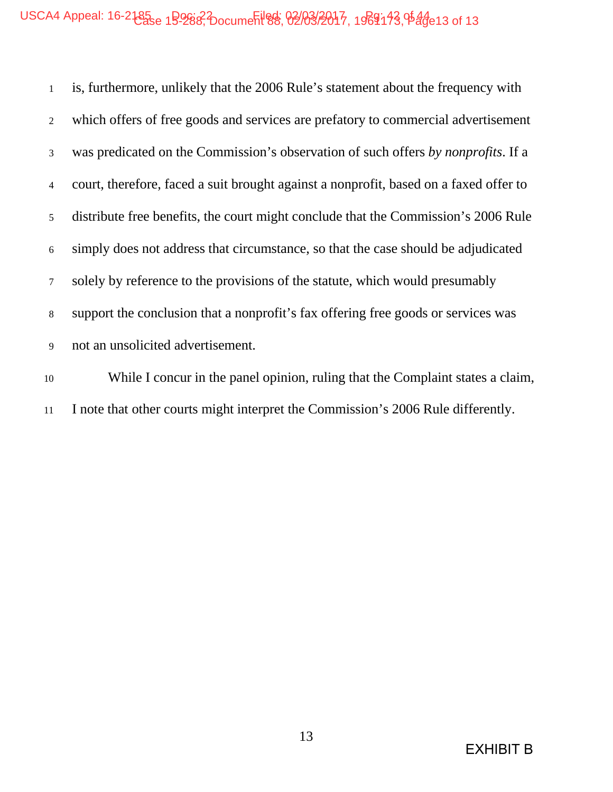# USCA4 Appeal: 16-2185<sub>8</sub> 19288, Document 88, 02/03/2017, 1969143, 0544 e13 of 13

 is, furthermore, unlikely that the 2006 Rule's statement about the frequency with which offers of free goods and services are prefatory to commercial advertisement was predicated on the Commission's observation of such offers *by nonprofits*. If a court, therefore, faced a suit brought against a nonprofit, based on a faxed offer to distribute free benefits, the court might conclude that the Commission's 2006 Rule simply does not address that circumstance, so that the case should be adjudicated solely by reference to the provisions of the statute, which would presumably support the conclusion that a nonprofit's fax offering free goods or services was not an unsolicited advertisement.

 While I concur in the panel opinion, ruling that the Complaint states a claim, I note that other courts might interpret the Commission's 2006 Rule differently.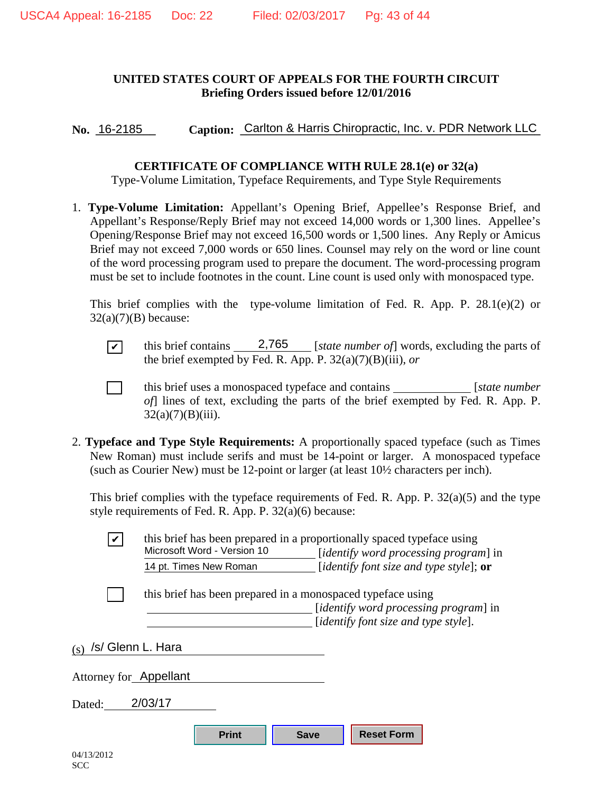#### **UNITED STATES COURT OF APPEALS FOR THE FOURTH CIRCUIT Briefing Orders issued before 12/01/2016**

No. 16-2185 Caption: Carlton & Harris Chiropractic, Inc. v. PDR Network LLC

#### **CERTIFICATE OF COMPLIANCE WITH RULE 28.1(e) or 32(a)**

Type-Volume Limitation, Typeface Requirements, and Type Style Requirements

1. **Type-Volume Limitation:** Appellant's Opening Brief, Appellee's Response Brief, and Appellant's Response/Reply Brief may not exceed 14,000 words or 1,300 lines. Appellee's Opening/Response Brief may not exceed 16,500 words or 1,500 lines. Any Reply or Amicus Brief may not exceed 7,000 words or 650 lines. Counsel may rely on the word or line count of the word processing program used to prepare the document. The word-processing program must be set to include footnotes in the count. Line count is used only with monospaced type.

This brief complies with the type-volume limitation of Fed. R. App. P. 28.1(e)(2) or  $32(a)(7)(B)$  because:

 $\boxed{\checkmark}$  this brief contains <u>2,765</u> [*state number of*] words, excluding the parts of the brief exempted by Fed. R. App. P. 32(a)(7)(B)(iii), *or* this brief contains

[ ] this brief uses a monospaced typeface and contains [*state number of*] lines of text, excluding the parts of the brief exempted by Fed. R. App. P.  $32(a)(7)(B)(iii)$ .

2. **Typeface and Type Style Requirements:** A proportionally spaced typeface (such as Times New Roman) must include serifs and must be 14-point or larger. A monospaced typeface (such as Courier New) must be 12-point or larger (at least 10½ characters per inch).

This brief complies with the typeface requirements of Fed. R. App. P. 32(a)(5) and the type style requirements of Fed. R. App. P. 32(a)(6) because:

| $\boldsymbol{\mathcal{U}}$ | Microsoft Word - Version 10                                 | this brief has been prepared in a proportionally spaced typeface using<br>[ <i>identify word processing program</i> ] in |  |
|----------------------------|-------------------------------------------------------------|--------------------------------------------------------------------------------------------------------------------------|--|
|                            | 14 pt. Times New Roman                                      | [identify font size and type style]; $or$                                                                                |  |
|                            | this brief has been prepared in a monospaced typeface using |                                                                                                                          |  |
|                            |                                                             | <i>didentify word processing program]</i> in<br><i>didentify font size and type style.</i>                               |  |
| (s)                        | /s/ Glenn L. Hara                                           |                                                                                                                          |  |
| Attorney for Appellant     |                                                             |                                                                                                                          |  |
| Dated:                     | 2/03/17                                                     |                                                                                                                          |  |
|                            | <b>Print</b>                                                | <b>Reset Form</b><br><b>Save</b>                                                                                         |  |
| 04/13/2012                 |                                                             |                                                                                                                          |  |